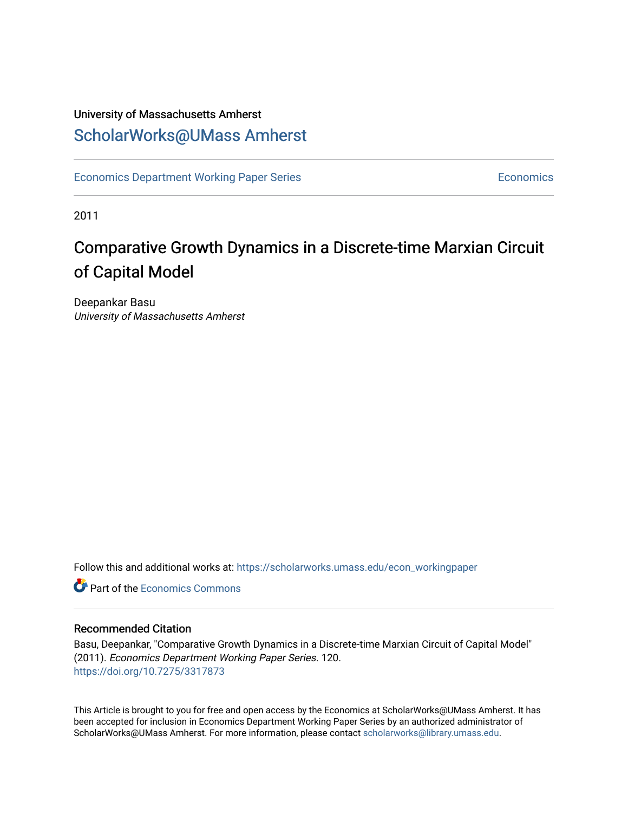#### University of Massachusetts Amherst [ScholarWorks@UMass Amherst](https://scholarworks.umass.edu/)

[Economics Department Working Paper Series](https://scholarworks.umass.edu/econ_workingpaper) **Economics** Economics

2011

### Comparative Growth Dynamics in a Discrete-time Marxian Circuit of Capital Model

Deepankar Basu University of Massachusetts Amherst

Follow this and additional works at: [https://scholarworks.umass.edu/econ\\_workingpaper](https://scholarworks.umass.edu/econ_workingpaper?utm_source=scholarworks.umass.edu%2Fecon_workingpaper%2F120&utm_medium=PDF&utm_campaign=PDFCoverPages) 

**C** Part of the [Economics Commons](http://network.bepress.com/hgg/discipline/340?utm_source=scholarworks.umass.edu%2Fecon_workingpaper%2F120&utm_medium=PDF&utm_campaign=PDFCoverPages)

#### Recommended Citation

Basu, Deepankar, "Comparative Growth Dynamics in a Discrete-time Marxian Circuit of Capital Model" (2011). Economics Department Working Paper Series. 120. <https://doi.org/10.7275/3317873>

This Article is brought to you for free and open access by the Economics at ScholarWorks@UMass Amherst. It has been accepted for inclusion in Economics Department Working Paper Series by an authorized administrator of ScholarWorks@UMass Amherst. For more information, please contact [scholarworks@library.umass.edu.](mailto:scholarworks@library.umass.edu)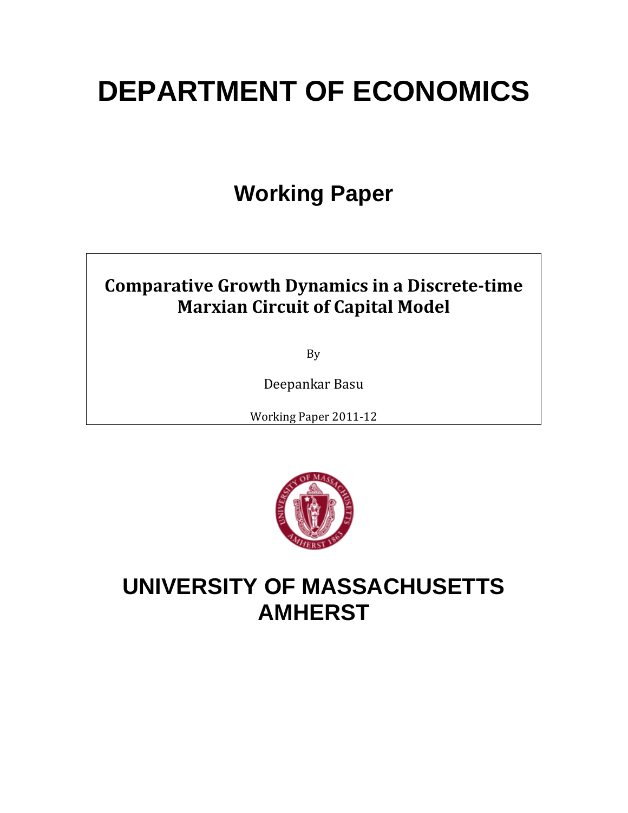# **DEPARTMENT OF ECONOMICS**

# **Working Paper**

## **Comparative Growth Dynamics in a Discretetime Marxian Circuit of Capital Model**

By

Deepankar Basu

Working Paper 2011‐12



# **UNIVERSITY OF MASSACHUSETTS AMHERST**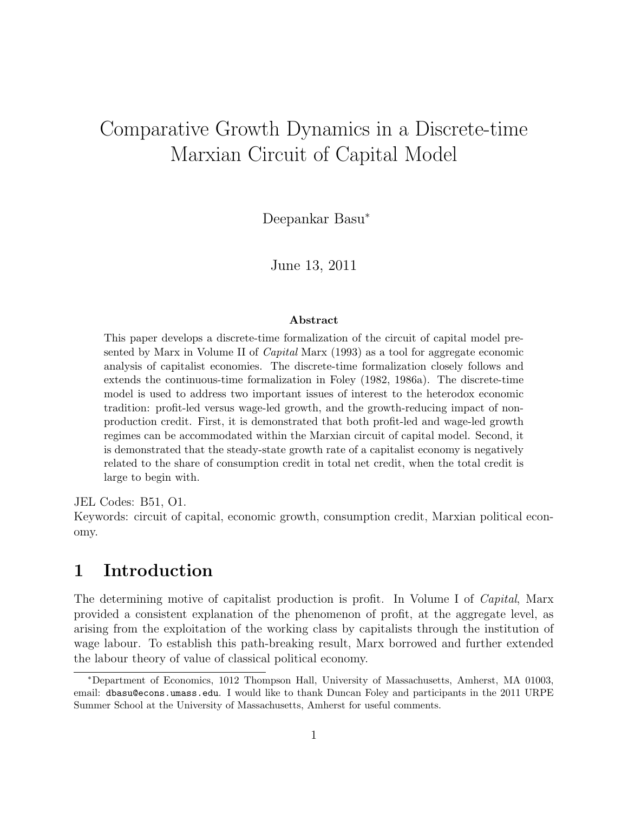# Comparative Growth Dynamics in a Discrete-time Marxian Circuit of Capital Model

Deepankar Basu<sup>∗</sup>

June 13, 2011

#### Abstract

This paper develops a discrete-time formalization of the circuit of capital model presented by Marx in Volume II of Capital Marx (1993) as a tool for aggregate economic analysis of capitalist economies. The discrete-time formalization closely follows and extends the continuous-time formalization in Foley (1982, 1986a). The discrete-time model is used to address two important issues of interest to the heterodox economic tradition: profit-led versus wage-led growth, and the growth-reducing impact of nonproduction credit. First, it is demonstrated that both profit-led and wage-led growth regimes can be accommodated within the Marxian circuit of capital model. Second, it is demonstrated that the steady-state growth rate of a capitalist economy is negatively related to the share of consumption credit in total net credit, when the total credit is large to begin with.

JEL Codes: B51, O1.

Keywords: circuit of capital, economic growth, consumption credit, Marxian political economy.

#### 1 Introduction

The determining motive of capitalist production is profit. In Volume I of Capital, Marx provided a consistent explanation of the phenomenon of profit, at the aggregate level, as arising from the exploitation of the working class by capitalists through the institution of wage labour. To establish this path-breaking result, Marx borrowed and further extended the labour theory of value of classical political economy.

<sup>∗</sup>Department of Economics, 1012 Thompson Hall, University of Massachusetts, Amherst, MA 01003, email: dbasu@econs.umass.edu. I would like to thank Duncan Foley and participants in the 2011 URPE Summer School at the University of Massachusetts, Amherst for useful comments.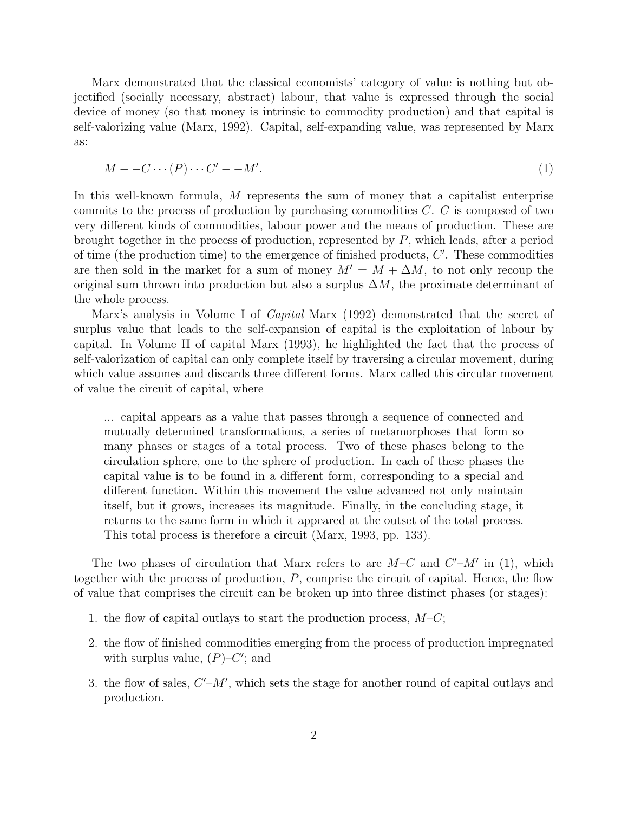Marx demonstrated that the classical economists' category of value is nothing but objectified (socially necessary, abstract) labour, that value is expressed through the social device of money (so that money is intrinsic to commodity production) and that capital is self-valorizing value (Marx, 1992). Capital, self-expanding value, was represented by Marx as:

$$
M - -C \cdots (P) \cdots C' - -M'. \tag{1}
$$

In this well-known formula, M represents the sum of money that a capitalist enterprise commits to the process of production by purchasing commodities C. C is composed of two very different kinds of commodities, labour power and the means of production. These are brought together in the process of production, represented by P, which leads, after a period of time (the production time) to the emergence of finished products,  $C'$ . These commodities are then sold in the market for a sum of money  $M' = M + \Delta M$ , to not only recoup the original sum thrown into production but also a surplus  $\Delta M$ , the proximate determinant of the whole process.

Marx's analysis in Volume I of *Capital* Marx (1992) demonstrated that the secret of surplus value that leads to the self-expansion of capital is the exploitation of labour by capital. In Volume II of capital Marx (1993), he highlighted the fact that the process of self-valorization of capital can only complete itself by traversing a circular movement, during which value assumes and discards three different forms. Marx called this circular movement of value the circuit of capital, where

... capital appears as a value that passes through a sequence of connected and mutually determined transformations, a series of metamorphoses that form so many phases or stages of a total process. Two of these phases belong to the circulation sphere, one to the sphere of production. In each of these phases the capital value is to be found in a different form, corresponding to a special and different function. Within this movement the value advanced not only maintain itself, but it grows, increases its magnitude. Finally, in the concluding stage, it returns to the same form in which it appeared at the outset of the total process. This total process is therefore a circuit (Marx, 1993, pp. 133).

The two phases of circulation that Marx refers to are  $M-C$  and  $C'-M'$  in (1), which together with the process of production, P, comprise the circuit of capital. Hence, the flow of value that comprises the circuit can be broken up into three distinct phases (or stages):

- 1. the flow of capital outlays to start the production process,  $M-C$ ;
- 2. the flow of finished commodities emerging from the process of production impregnated with surplus value,  $(P)$ – $C'$ ; and
- 3. the flow of sales,  $C'-M'$ , which sets the stage for another round of capital outlays and production.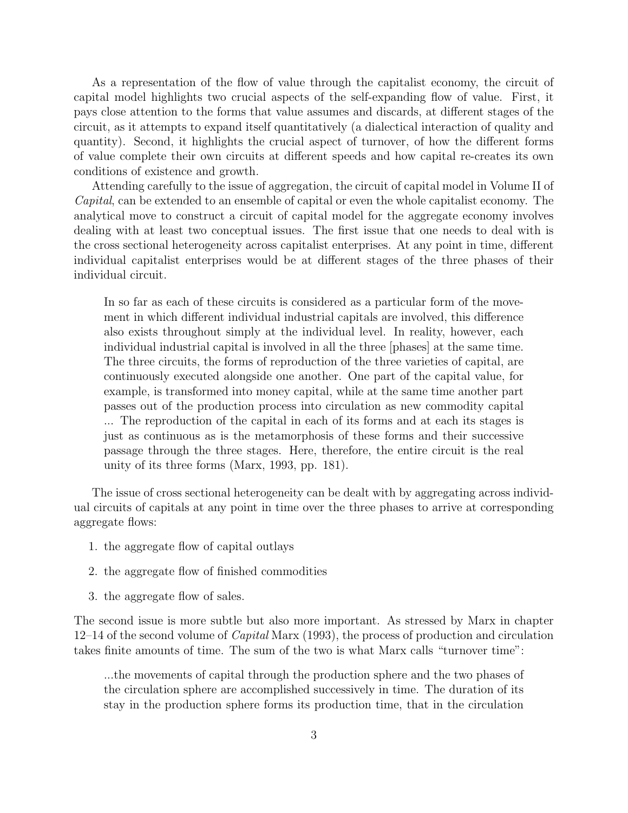As a representation of the flow of value through the capitalist economy, the circuit of capital model highlights two crucial aspects of the self-expanding flow of value. First, it pays close attention to the forms that value assumes and discards, at different stages of the circuit, as it attempts to expand itself quantitatively (a dialectical interaction of quality and quantity). Second, it highlights the crucial aspect of turnover, of how the different forms of value complete their own circuits at different speeds and how capital re-creates its own conditions of existence and growth.

Attending carefully to the issue of aggregation, the circuit of capital model in Volume II of Capital, can be extended to an ensemble of capital or even the whole capitalist economy. The analytical move to construct a circuit of capital model for the aggregate economy involves dealing with at least two conceptual issues. The first issue that one needs to deal with is the cross sectional heterogeneity across capitalist enterprises. At any point in time, different individual capitalist enterprises would be at different stages of the three phases of their individual circuit.

In so far as each of these circuits is considered as a particular form of the movement in which different individual industrial capitals are involved, this difference also exists throughout simply at the individual level. In reality, however, each individual industrial capital is involved in all the three [phases] at the same time. The three circuits, the forms of reproduction of the three varieties of capital, are continuously executed alongside one another. One part of the capital value, for example, is transformed into money capital, while at the same time another part passes out of the production process into circulation as new commodity capital ... The reproduction of the capital in each of its forms and at each its stages is just as continuous as is the metamorphosis of these forms and their successive passage through the three stages. Here, therefore, the entire circuit is the real unity of its three forms (Marx, 1993, pp. 181).

The issue of cross sectional heterogeneity can be dealt with by aggregating across individual circuits of capitals at any point in time over the three phases to arrive at corresponding aggregate flows:

- 1. the aggregate flow of capital outlays
- 2. the aggregate flow of finished commodities
- 3. the aggregate flow of sales.

The second issue is more subtle but also more important. As stressed by Marx in chapter  $12-14$  of the second volume of *Capital* Marx (1993), the process of production and circulation takes finite amounts of time. The sum of the two is what Marx calls "turnover time":

...the movements of capital through the production sphere and the two phases of the circulation sphere are accomplished successively in time. The duration of its stay in the production sphere forms its production time, that in the circulation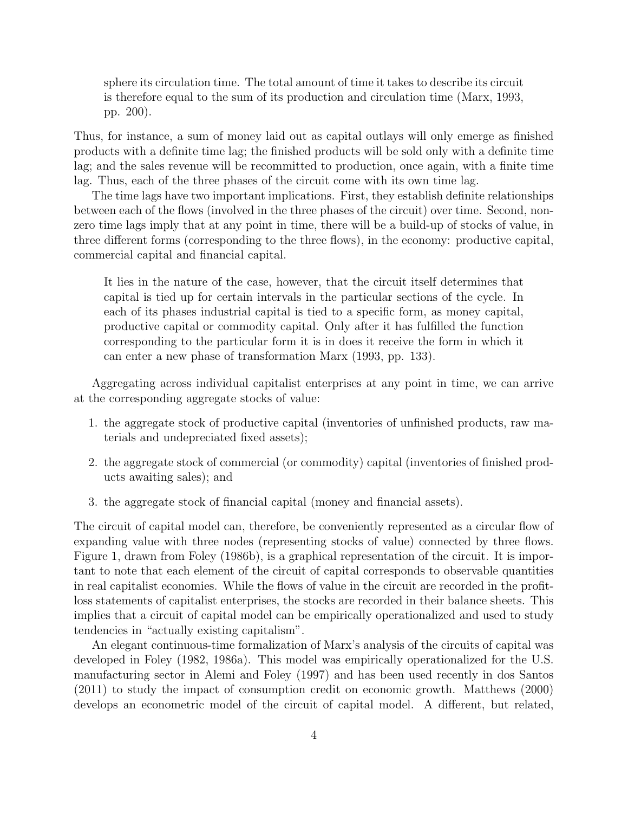sphere its circulation time. The total amount of time it takes to describe its circuit is therefore equal to the sum of its production and circulation time (Marx, 1993, pp. 200).

Thus, for instance, a sum of money laid out as capital outlays will only emerge as finished products with a definite time lag; the finished products will be sold only with a definite time lag; and the sales revenue will be recommitted to production, once again, with a finite time lag. Thus, each of the three phases of the circuit come with its own time lag.

The time lags have two important implications. First, they establish definite relationships between each of the flows (involved in the three phases of the circuit) over time. Second, nonzero time lags imply that at any point in time, there will be a build-up of stocks of value, in three different forms (corresponding to the three flows), in the economy: productive capital, commercial capital and financial capital.

It lies in the nature of the case, however, that the circuit itself determines that capital is tied up for certain intervals in the particular sections of the cycle. In each of its phases industrial capital is tied to a specific form, as money capital, productive capital or commodity capital. Only after it has fulfilled the function corresponding to the particular form it is in does it receive the form in which it can enter a new phase of transformation Marx (1993, pp. 133).

Aggregating across individual capitalist enterprises at any point in time, we can arrive at the corresponding aggregate stocks of value:

- 1. the aggregate stock of productive capital (inventories of unfinished products, raw materials and undepreciated fixed assets);
- 2. the aggregate stock of commercial (or commodity) capital (inventories of finished products awaiting sales); and
- 3. the aggregate stock of financial capital (money and financial assets).

The circuit of capital model can, therefore, be conveniently represented as a circular flow of expanding value with three nodes (representing stocks of value) connected by three flows. Figure 1, drawn from Foley (1986b), is a graphical representation of the circuit. It is important to note that each element of the circuit of capital corresponds to observable quantities in real capitalist economies. While the flows of value in the circuit are recorded in the profitloss statements of capitalist enterprises, the stocks are recorded in their balance sheets. This implies that a circuit of capital model can be empirically operationalized and used to study tendencies in "actually existing capitalism".

An elegant continuous-time formalization of Marx's analysis of the circuits of capital was developed in Foley (1982, 1986a). This model was empirically operationalized for the U.S. manufacturing sector in Alemi and Foley (1997) and has been used recently in dos Santos (2011) to study the impact of consumption credit on economic growth. Matthews (2000) develops an econometric model of the circuit of capital model. A different, but related,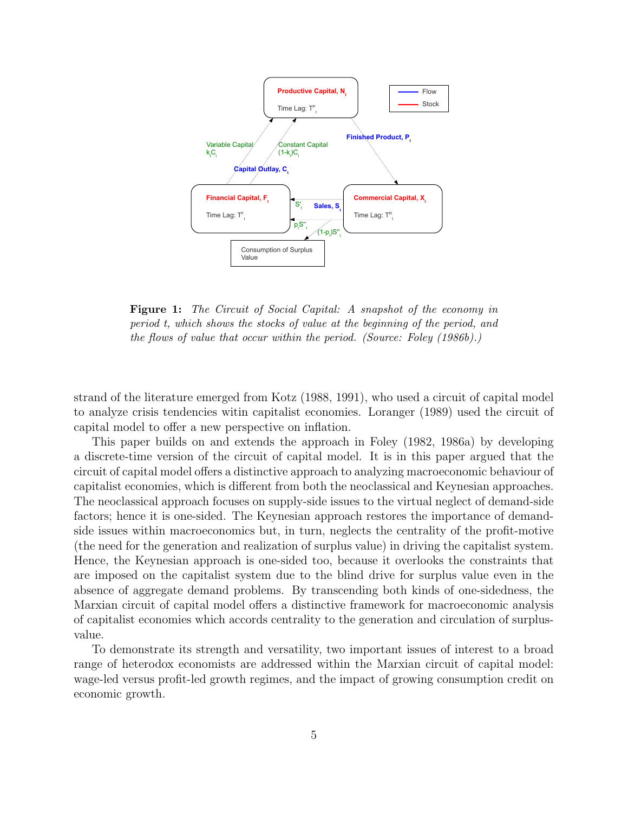

Figure 1: The Circuit of Social Capital: A snapshot of the economy in period t, which shows the stocks of value at the beginning of the period, and the flows of value that occur within the period. (Source: Foley (1986b).)

strand of the literature emerged from Kotz (1988, 1991), who used a circuit of capital model to analyze crisis tendencies witin capitalist economies. Loranger (1989) used the circuit of capital model to offer a new perspective on inflation.

This paper builds on and extends the approach in Foley (1982, 1986a) by developing a discrete-time version of the circuit of capital model. It is in this paper argued that the circuit of capital model offers a distinctive approach to analyzing macroeconomic behaviour of capitalist economies, which is different from both the neoclassical and Keynesian approaches. The neoclassical approach focuses on supply-side issues to the virtual neglect of demand-side factors; hence it is one-sided. The Keynesian approach restores the importance of demandside issues within macroeconomics but, in turn, neglects the centrality of the profit-motive (the need for the generation and realization of surplus value) in driving the capitalist system. Hence, the Keynesian approach is one-sided too, because it overlooks the constraints that are imposed on the capitalist system due to the blind drive for surplus value even in the absence of aggregate demand problems. By transcending both kinds of one-sidedness, the Marxian circuit of capital model offers a distinctive framework for macroeconomic analysis of capitalist economies which accords centrality to the generation and circulation of surplusvalue.

To demonstrate its strength and versatility, two important issues of interest to a broad range of heterodox economists are addressed within the Marxian circuit of capital model: wage-led versus profit-led growth regimes, and the impact of growing consumption credit on economic growth.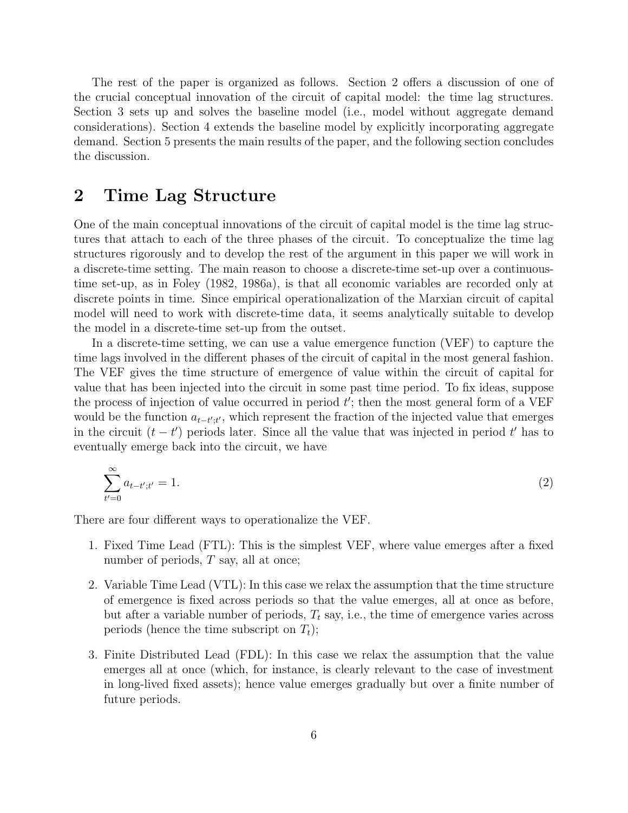The rest of the paper is organized as follows. Section 2 offers a discussion of one of the crucial conceptual innovation of the circuit of capital model: the time lag structures. Section 3 sets up and solves the baseline model (i.e., model without aggregate demand considerations). Section 4 extends the baseline model by explicitly incorporating aggregate demand. Section 5 presents the main results of the paper, and the following section concludes the discussion.

#### 2 Time Lag Structure

One of the main conceptual innovations of the circuit of capital model is the time lag structures that attach to each of the three phases of the circuit. To conceptualize the time lag structures rigorously and to develop the rest of the argument in this paper we will work in a discrete-time setting. The main reason to choose a discrete-time set-up over a continuoustime set-up, as in Foley (1982, 1986a), is that all economic variables are recorded only at discrete points in time. Since empirical operationalization of the Marxian circuit of capital model will need to work with discrete-time data, it seems analytically suitable to develop the model in a discrete-time set-up from the outset.

In a discrete-time setting, we can use a value emergence function (VEF) to capture the time lags involved in the different phases of the circuit of capital in the most general fashion. The VEF gives the time structure of emergence of value within the circuit of capital for value that has been injected into the circuit in some past time period. To fix ideas, suppose the process of injection of value occurred in period  $t'$ ; then the most general form of a VEF would be the function  $a_{t-t';t'}$ , which represent the fraction of the injected value that emerges in the circuit  $(t - t')$  periods later. Since all the value that was injected in period t' has to eventually emerge back into the circuit, we have

$$
\sum_{t'=0}^{\infty} a_{t-t';t'} = 1.
$$
\n(2)

There are four different ways to operationalize the VEF.

- 1. Fixed Time Lead (FTL): This is the simplest VEF, where value emerges after a fixed number of periods, T say, all at once;
- 2. Variable Time Lead (VTL): In this case we relax the assumption that the time structure of emergence is fixed across periods so that the value emerges, all at once as before, but after a variable number of periods,  $T_t$  say, i.e., the time of emergence varies across periods (hence the time subscript on  $T_t$ );
- 3. Finite Distributed Lead (FDL): In this case we relax the assumption that the value emerges all at once (which, for instance, is clearly relevant to the case of investment in long-lived fixed assets); hence value emerges gradually but over a finite number of future periods.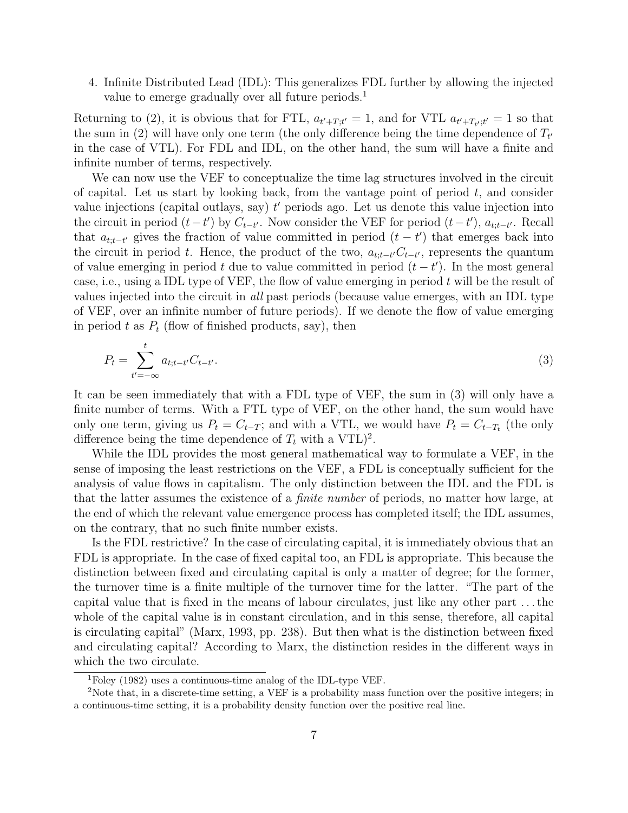4. Infinite Distributed Lead (IDL): This generalizes FDL further by allowing the injected value to emerge gradually over all future periods.<sup>1</sup>

Returning to (2), it is obvious that for FTL,  $a_{t'+T,t'} = 1$ , and for VTL  $a_{t'+T_{t'};t'} = 1$  so that the sum in (2) will have only one term (the only difference being the time dependence of  $T_{t'}$ in the case of VTL). For FDL and IDL, on the other hand, the sum will have a finite and infinite number of terms, respectively.

We can now use the VEF to conceptualize the time lag structures involved in the circuit of capital. Let us start by looking back, from the vantage point of period  $t$ , and consider value injections (capital outlays, say)  $t'$  periods ago. Let us denote this value injection into the circuit in period  $(t-t')$  by  $C_{t-t'}$ . Now consider the VEF for period  $(t-t')$ ,  $a_{t,t-t'}$ . Recall that  $a_{t,t-t'}$  gives the fraction of value committed in period  $(t-t')$  that emerges back into the circuit in period t. Hence, the product of the two,  $a_{t:t-t'}C_{t-t'}$ , represents the quantum of value emerging in period t due to value committed in period  $(t - t')$ . In the most general case, i.e., using a IDL type of VEF, the flow of value emerging in period  $t$  will be the result of values injected into the circuit in all past periods (because value emerges, with an IDL type of VEF, over an infinite number of future periods). If we denote the flow of value emerging in period t as  $P_t$  (flow of finished products, say), then

$$
P_t = \sum_{t' = -\infty}^t a_{t; t - t'} C_{t - t'}.
$$
\n(3)

It can be seen immediately that with a FDL type of VEF, the sum in (3) will only have a finite number of terms. With a FTL type of VEF, on the other hand, the sum would have only one term, giving us  $P_t = C_{t-T}$ ; and with a VTL, we would have  $P_t = C_{t-T_t}$  (the only difference being the time dependence of  $T_t$  with a VTL)<sup>2</sup>.

While the IDL provides the most general mathematical way to formulate a VEF, in the sense of imposing the least restrictions on the VEF, a FDL is conceptually sufficient for the analysis of value flows in capitalism. The only distinction between the IDL and the FDL is that the latter assumes the existence of a finite number of periods, no matter how large, at the end of which the relevant value emergence process has completed itself; the IDL assumes, on the contrary, that no such finite number exists.

Is the FDL restrictive? In the case of circulating capital, it is immediately obvious that an FDL is appropriate. In the case of fixed capital too, an FDL is appropriate. This because the distinction between fixed and circulating capital is only a matter of degree; for the former, the turnover time is a finite multiple of the turnover time for the latter. "The part of the capital value that is fixed in the means of labour circulates, just like any other part . . . the whole of the capital value is in constant circulation, and in this sense, therefore, all capital is circulating capital" (Marx, 1993, pp. 238). But then what is the distinction between fixed and circulating capital? According to Marx, the distinction resides in the different ways in which the two circulate.

<sup>1</sup>Foley (1982) uses a continuous-time analog of the IDL-type VEF.

<sup>&</sup>lt;sup>2</sup>Note that, in a discrete-time setting, a VEF is a probability mass function over the positive integers; in a continuous-time setting, it is a probability density function over the positive real line.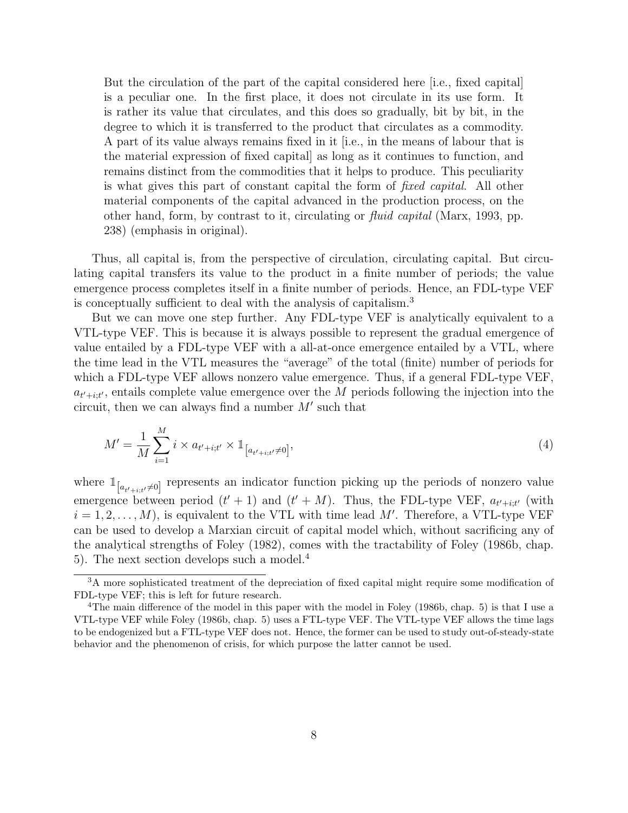But the circulation of the part of the capital considered here [i.e., fixed capital] is a peculiar one. In the first place, it does not circulate in its use form. It is rather its value that circulates, and this does so gradually, bit by bit, in the degree to which it is transferred to the product that circulates as a commodity. A part of its value always remains fixed in it [i.e., in the means of labour that is the material expression of fixed capital] as long as it continues to function, and remains distinct from the commodities that it helps to produce. This peculiarity is what gives this part of constant capital the form of fixed capital. All other material components of the capital advanced in the production process, on the other hand, form, by contrast to it, circulating or fluid capital (Marx, 1993, pp. 238) (emphasis in original).

Thus, all capital is, from the perspective of circulation, circulating capital. But circulating capital transfers its value to the product in a finite number of periods; the value emergence process completes itself in a finite number of periods. Hence, an FDL-type VEF is conceptually sufficient to deal with the analysis of capitalism.<sup>3</sup>

But we can move one step further. Any FDL-type VEF is analytically equivalent to a VTL-type VEF. This is because it is always possible to represent the gradual emergence of value entailed by a FDL-type VEF with a all-at-once emergence entailed by a VTL, where the time lead in the VTL measures the "average" of the total (finite) number of periods for which a FDL-type VEF allows nonzero value emergence. Thus, if a general FDL-type VEF,  $a_{t'+i,t'}$ , entails complete value emergence over the M periods following the injection into the circuit, then we can always find a number  $M'$  such that

$$
M' = \frac{1}{M} \sum_{i=1}^{M} i \times a_{t'+i;t'} \times \mathbb{1}_{[a_{t'+i;t'} \neq 0]},
$$
\n(4)

where  $\mathbb{1}_{a_{t'+i,t'}\neq0]}$  represents an indicator function picking up the periods of nonzero value emergence between period  $(t' + 1)$  and  $(t' + M)$ . Thus, the FDL-type VEF,  $a_{t'+i,t'}$  (with  $i = 1, 2, \ldots, M$ , is equivalent to the VTL with time lead M'. Therefore, a VTL-type VEF can be used to develop a Marxian circuit of capital model which, without sacrificing any of the analytical strengths of Foley (1982), comes with the tractability of Foley (1986b, chap. 5). The next section develops such a model.<sup>4</sup>

<sup>3</sup>A more sophisticated treatment of the depreciation of fixed capital might require some modification of FDL-type VEF; this is left for future research.

<sup>&</sup>lt;sup>4</sup>The main difference of the model in this paper with the model in Foley (1986b, chap. 5) is that I use a VTL-type VEF while Foley (1986b, chap. 5) uses a FTL-type VEF. The VTL-type VEF allows the time lags to be endogenized but a FTL-type VEF does not. Hence, the former can be used to study out-of-steady-state behavior and the phenomenon of crisis, for which purpose the latter cannot be used.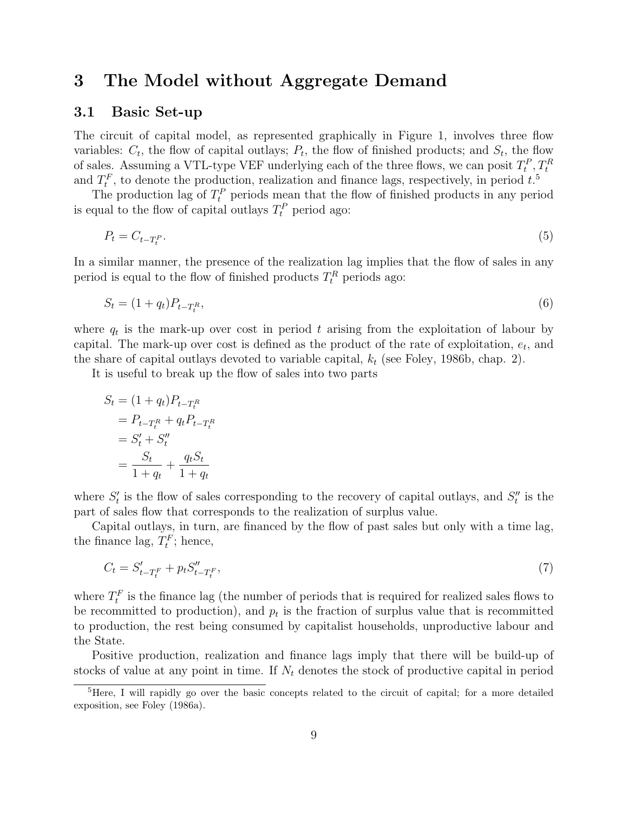#### 3 The Model without Aggregate Demand

#### 3.1 Basic Set-up

The circuit of capital model, as represented graphically in Figure 1, involves three flow variables:  $C_t$ , the flow of capital outlays;  $P_t$ , the flow of finished products; and  $S_t$ , the flow of sales. Assuming a VTL-type VEF underlying each of the three flows, we can posit  $T_t^P, T_t^R$ and  $T_t^F$ , to denote the production, realization and finance lags, respectively, in period  $t$ <sup>5</sup>

The production lag of  $T_t^P$  periods mean that the flow of finished products in any period is equal to the flow of capital outlays  $T_t^P$  period ago:

$$
P_t = C_{t-T_t^P}.\tag{5}
$$

In a similar manner, the presence of the realization lag implies that the flow of sales in any period is equal to the flow of finished products  $T_t^R$  periods ago:

$$
S_t = (1 + q_t)P_{t - T_t^R},\tag{6}
$$

where  $q_t$  is the mark-up over cost in period t arising from the exploitation of labour by capital. The mark-up over cost is defined as the product of the rate of exploitation,  $e_t$ , and the share of capital outlays devoted to variable capital,  $k_t$  (see Foley, 1986b, chap. 2).

It is useful to break up the flow of sales into two parts

$$
S_t = (1 + q_t)P_{t-T_t^R}
$$
  
=  $P_{t-T_t^R} + q_t P_{t-T_t^R}$   
=  $S'_t + S''_t$   
=  $\frac{S_t}{1+q_t} + \frac{q_t S_t}{1+q_t}$ 

where  $S_t'$  is the flow of sales corresponding to the recovery of capital outlays, and  $S_t''$  is the part of sales flow that corresponds to the realization of surplus value.

Capital outlays, in turn, are financed by the flow of past sales but only with a time lag, the finance lag,  $T_t^F$ ; hence,

$$
C_t = S'_{t-T_t^F} + p_t S''_{t-T_t^F},\tag{7}
$$

where  $T_t^F$  is the finance lag (the number of periods that is required for realized sales flows to be recommitted to production), and  $p_t$  is the fraction of surplus value that is recommitted to production, the rest being consumed by capitalist households, unproductive labour and the State.

Positive production, realization and finance lags imply that there will be build-up of stocks of value at any point in time. If  $N_t$  denotes the stock of productive capital in period

<sup>5</sup>Here, I will rapidly go over the basic concepts related to the circuit of capital; for a more detailed exposition, see Foley (1986a).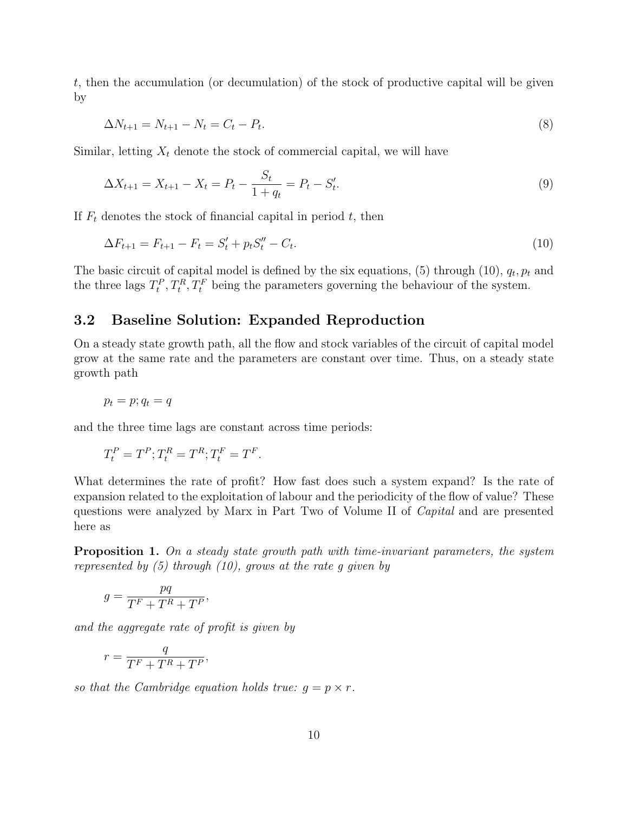t, then the accumulation (or decumulation) of the stock of productive capital will be given by

$$
\Delta N_{t+1} = N_{t+1} - N_t = C_t - P_t. \tag{8}
$$

Similar, letting  $X_t$  denote the stock of commercial capital, we will have

$$
\Delta X_{t+1} = X_{t+1} - X_t = P_t - \frac{S_t}{1 + q_t} = P_t - S'_t.
$$
\n(9)

If  $F_t$  denotes the stock of financial capital in period  $t$ , then

$$
\Delta F_{t+1} = F_{t+1} - F_t = S'_t + p_t S''_t - C_t.
$$
\n(10)

The basic circuit of capital model is defined by the six equations, (5) through  $(10)$ ,  $q_t$ ,  $p_t$  and the three lags  $T_t^P, T_t^R, T_t^F$  being the parameters governing the behaviour of the system.

#### 3.2 Baseline Solution: Expanded Reproduction

On a steady state growth path, all the flow and stock variables of the circuit of capital model grow at the same rate and the parameters are constant over time. Thus, on a steady state growth path

$$
p_t = p; q_t = q
$$

and the three time lags are constant across time periods:

$$
T_t^P = T^P; T_t^R = T^R; T_t^F = T^F.
$$

What determines the rate of profit? How fast does such a system expand? Is the rate of expansion related to the exploitation of labour and the periodicity of the flow of value? These questions were analyzed by Marx in Part Two of Volume II of Capital and are presented here as

**Proposition 1.** On a steady state growth path with time-invariant parameters, the system represented by  $(5)$  through  $(10)$ , grows at the rate g given by

$$
g = \frac{pq}{T^F + T^R + T^P},
$$

and the aggregate rate of profit is given by

$$
r = \frac{q}{T^F + T^R + T^P},
$$

so that the Cambridge equation holds true:  $g = p \times r$ .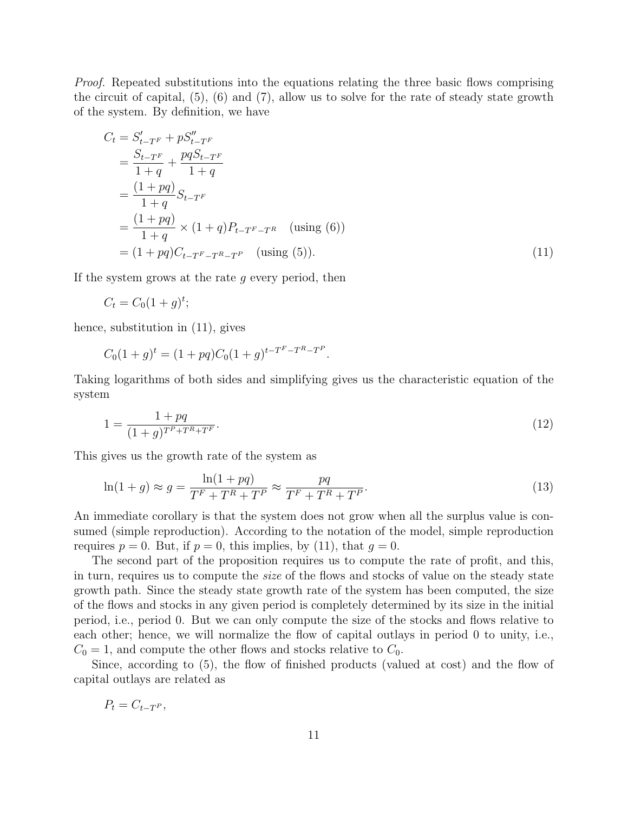Proof. Repeated substitutions into the equations relating the three basic flows comprising the circuit of capital,  $(5)$ ,  $(6)$  and  $(7)$ , allow us to solve for the rate of steady state growth of the system. By definition, we have

$$
C_{t} = S'_{t-T^{F}} + pS''_{t-T^{F}}
$$
  
=  $\frac{S_{t-T^{F}}}{1+q} + \frac{pqS_{t-T^{F}}}{1+q}$   
=  $\frac{(1+pq)}{1+q}S_{t-T^{F}}$   
=  $\frac{(1+pq)}{1+q} \times (1+q)P_{t-T^{F}-T^{R}}$  (using (6))  
=  $(1+pq)C_{t-T^{F}-T^{R}-T^{P}}$  (using (5)). (11)

If the system grows at the rate  $q$  every period, then

$$
C_t = C_0(1+g)^t;
$$

hence, substitution in (11), gives

$$
C_0(1+g)^t = (1+pq)C_0(1+g)^{t-T^F-T^R-T^F}
$$

Taking logarithms of both sides and simplifying gives us the characteristic equation of the system

$$
1 = \frac{1 + pq}{(1 + g)^{T^P + T^R + T^F}}.\tag{12}
$$

.

This gives us the growth rate of the system as

$$
\ln(1+g) \approx g = \frac{\ln(1+pq)}{T^F + T^R + T^P} \approx \frac{pq}{T^F + T^R + T^P}.\tag{13}
$$

An immediate corollary is that the system does not grow when all the surplus value is consumed (simple reproduction). According to the notation of the model, simple reproduction requires  $p = 0$ . But, if  $p = 0$ , this implies, by (11), that  $q = 0$ .

The second part of the proposition requires us to compute the rate of profit, and this, in turn, requires us to compute the size of the flows and stocks of value on the steady state growth path. Since the steady state growth rate of the system has been computed, the size of the flows and stocks in any given period is completely determined by its size in the initial period, i.e., period 0. But we can only compute the size of the stocks and flows relative to each other; hence, we will normalize the flow of capital outlays in period 0 to unity, i.e.,  $C_0 = 1$ , and compute the other flows and stocks relative to  $C_0$ .

Since, according to (5), the flow of finished products (valued at cost) and the flow of capital outlays are related as

$$
P_t = C_{t-T^P},
$$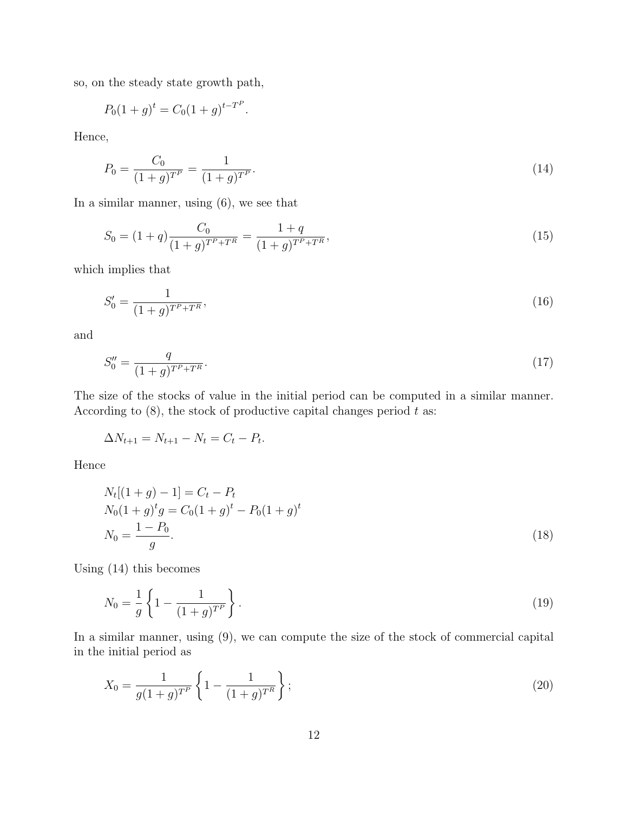so, on the steady state growth path,

$$
P_0(1+g)^t = C_0(1+g)^{t-T^P}.
$$

Hence,

$$
P_0 = \frac{C_0}{(1+g)^{T^P}} = \frac{1}{(1+g)^{T^P}}.\tag{14}
$$

In a similar manner, using (6), we see that

$$
S_0 = (1+q)\frac{C_0}{(1+g)^{T^P+T^R}} = \frac{1+q}{(1+g)^{T^P+T^R}},\tag{15}
$$

which implies that

$$
S_0' = \frac{1}{(1+g)^{T^P + T^R}},\tag{16}
$$

and

$$
S_0'' = \frac{q}{(1+g)^{T^P + T^R}}.\tag{17}
$$

The size of the stocks of value in the initial period can be computed in a similar manner. According to  $(8)$ , the stock of productive capital changes period t as:

$$
\Delta N_{t+1} = N_{t+1} - N_t = C_t - P_t.
$$

Hence

$$
N_t[(1+g) - 1] = C_t - P_t
$$
  
\n
$$
N_0(1+g)^t g = C_0(1+g)^t - P_0(1+g)^t
$$
  
\n
$$
N_0 = \frac{1-P_0}{g}.
$$
\n(18)

Using (14) this becomes

$$
N_0 = \frac{1}{g} \left\{ 1 - \frac{1}{(1+g)^{T^P}} \right\}.
$$
\n(19)

In a similar manner, using (9), we can compute the size of the stock of commercial capital in the initial period as

$$
X_0 = \frac{1}{g(1+g)^{T^P}} \left\{ 1 - \frac{1}{(1+g)^{T^R}} \right\};\tag{20}
$$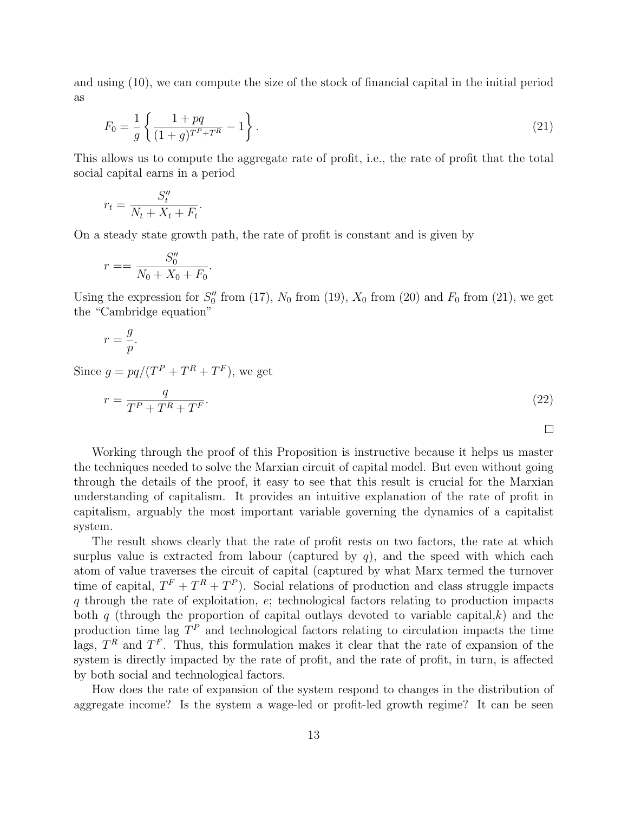and using (10), we can compute the size of the stock of financial capital in the initial period as

$$
F_0 = \frac{1}{g} \left\{ \frac{1 + pq}{(1 + g)^{T^p + T^R}} - 1 \right\}.
$$
\n(21)

This allows us to compute the aggregate rate of profit, i.e., the rate of profit that the total social capital earns in a period

$$
r_t = \frac{S_t''}{N_t + X_t + F_t}.
$$

On a steady state growth path, the rate of profit is constant and is given by

$$
r = = \frac{S_0''}{N_0 + X_0 + F_0}.
$$

Using the expression for  $S_0''$  from (17),  $N_0$  from (19),  $X_0$  from (20) and  $F_0$  from (21), we get the "Cambridge equation"

$$
r = \frac{g}{p}.
$$

Since  $g = pq/(T^P + T^R + T^F)$ , we get

$$
r = \frac{q}{T^P + T^R + T^F}.\tag{22}
$$

 $\Box$ 

Working through the proof of this Proposition is instructive because it helps us master the techniques needed to solve the Marxian circuit of capital model. But even without going through the details of the proof, it easy to see that this result is crucial for the Marxian understanding of capitalism. It provides an intuitive explanation of the rate of profit in capitalism, arguably the most important variable governing the dynamics of a capitalist system.

The result shows clearly that the rate of profit rests on two factors, the rate at which surplus value is extracted from labour (captured by  $q$ ), and the speed with which each atom of value traverses the circuit of capital (captured by what Marx termed the turnover time of capital,  $T^F + T^R + T^P$ ). Social relations of production and class struggle impacts q through the rate of exploitation,  $e$ ; technological factors relating to production impacts both q (through the proportion of capital outlays devoted to variable capital, k) and the production time lag  $T^P$  and technological factors relating to circulation impacts the time lags,  $T<sup>R</sup>$  and  $T<sup>F</sup>$ . Thus, this formulation makes it clear that the rate of expansion of the system is directly impacted by the rate of profit, and the rate of profit, in turn, is affected by both social and technological factors.

How does the rate of expansion of the system respond to changes in the distribution of aggregate income? Is the system a wage-led or profit-led growth regime? It can be seen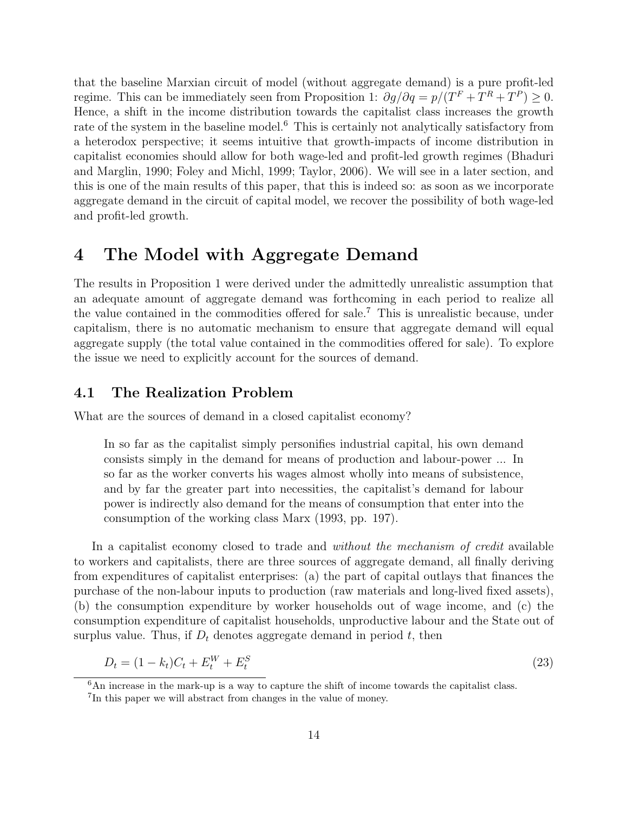that the baseline Marxian circuit of model (without aggregate demand) is a pure profit-led regime. This can be immediately seen from Proposition 1:  $\partial g/\partial q = p/(T^F + T^R + T^P) \ge 0$ . Hence, a shift in the income distribution towards the capitalist class increases the growth rate of the system in the baseline model.<sup>6</sup> This is certainly not analytically satisfactory from a heterodox perspective; it seems intuitive that growth-impacts of income distribution in capitalist economies should allow for both wage-led and profit-led growth regimes (Bhaduri and Marglin, 1990; Foley and Michl, 1999; Taylor, 2006). We will see in a later section, and this is one of the main results of this paper, that this is indeed so: as soon as we incorporate aggregate demand in the circuit of capital model, we recover the possibility of both wage-led and profit-led growth.

### 4 The Model with Aggregate Demand

The results in Proposition 1 were derived under the admittedly unrealistic assumption that an adequate amount of aggregate demand was forthcoming in each period to realize all the value contained in the commodities offered for sale.<sup>7</sup> This is unrealistic because, under capitalism, there is no automatic mechanism to ensure that aggregate demand will equal aggregate supply (the total value contained in the commodities offered for sale). To explore the issue we need to explicitly account for the sources of demand.

#### 4.1 The Realization Problem

What are the sources of demand in a closed capitalist economy?

In so far as the capitalist simply personifies industrial capital, his own demand consists simply in the demand for means of production and labour-power ... In so far as the worker converts his wages almost wholly into means of subsistence, and by far the greater part into necessities, the capitalist's demand for labour power is indirectly also demand for the means of consumption that enter into the consumption of the working class Marx (1993, pp. 197).

In a capitalist economy closed to trade and *without the mechanism of credit* available to workers and capitalists, there are three sources of aggregate demand, all finally deriving from expenditures of capitalist enterprises: (a) the part of capital outlays that finances the purchase of the non-labour inputs to production (raw materials and long-lived fixed assets), (b) the consumption expenditure by worker households out of wage income, and (c) the consumption expenditure of capitalist households, unproductive labour and the State out of surplus value. Thus, if  $D_t$  denotes aggregate demand in period  $t$ , then

$$
D_t = (1 - k_t)C_t + E_t^W + E_t^S
$$
\n(23)

 $6$ An increase in the mark-up is a way to capture the shift of income towards the capitalist class.

<sup>7</sup> In this paper we will abstract from changes in the value of money.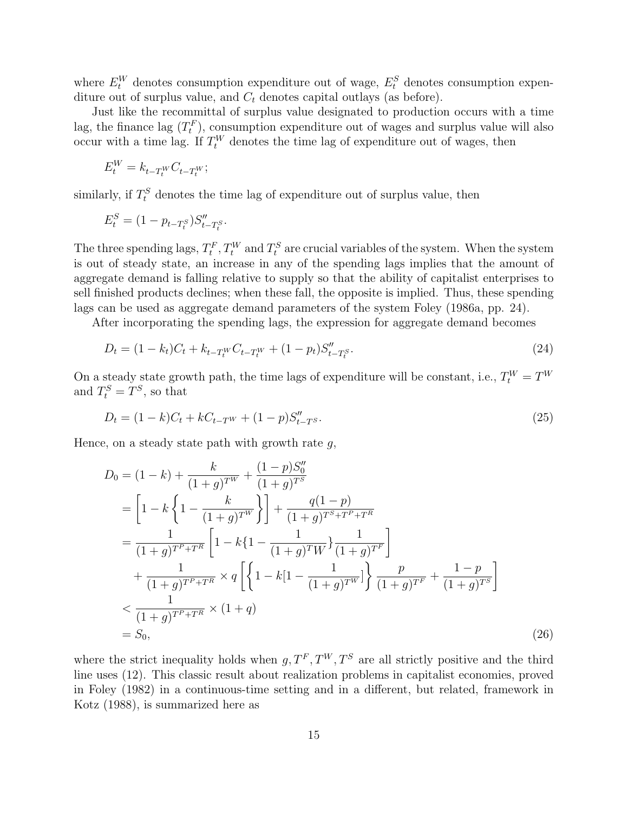where  $E_t^W$  denotes consumption expenditure out of wage,  $E_t^S$  denotes consumption expenditure out of surplus value, and  $C_t$  denotes capital outlays (as before).

Just like the recommittal of surplus value designated to production occurs with a time lag, the finance lag  $(T_t^F)$ , consumption expenditure out of wages and surplus value will also occur with a time lag. If  $T_t^W$  denotes the time lag of expenditure out of wages, then

$$
E_t^W = k_{t-T_t^W} C_{t-T_t^W};
$$

similarly, if  $T_t^S$  denotes the time lag of expenditure out of surplus value, then

$$
E_t^S = (1 - p_{t - T_t^S}) S_{t - T_t^S}''.
$$

The three spending lags,  $T_t^F, T_t^W$  and  $T_t^S$  are crucial variables of the system. When the system is out of steady state, an increase in any of the spending lags implies that the amount of aggregate demand is falling relative to supply so that the ability of capitalist enterprises to sell finished products declines; when these fall, the opposite is implied. Thus, these spending lags can be used as aggregate demand parameters of the system Foley (1986a, pp. 24).

After incorporating the spending lags, the expression for aggregate demand becomes

$$
D_t = (1 - k_t)C_t + k_{t-T_t^W}C_{t-T_t^W} + (1 - p_t)S_{t-T_t^S}''.
$$
\n(24)

On a steady state growth path, the time lags of expenditure will be constant, i.e.,  $T_t^W = T^W$ and  $T_t^S = T^S$ , so that

$$
D_t = (1 - k)C_t + kC_{t-TW} + (1 - p)S''_{t-TS}.
$$
\n(25)

Hence, on a steady state path with growth rate  $g$ ,

$$
D_0 = (1 - k) + \frac{k}{(1 + g)^{TW}} + \frac{(1 - p)S_0''}{(1 + g)^{TS}}
$$
  
\n
$$
= \left[1 - k\left\{1 - \frac{k}{(1 + g)^{TW}}\right\}\right] + \frac{q(1 - p)}{(1 + g)^{TS + TF + TN}}
$$
  
\n
$$
= \frac{1}{(1 + g)^{TP + TN}} \left[1 - k\left\{1 - \frac{1}{(1 + g)^{TW}}\right\}\frac{1}{(1 + g)^{TF}}\right]
$$
  
\n
$$
+ \frac{1}{(1 + g)^{T^P + TN}} \times q \left[\left\{1 - k\left[1 - \frac{1}{(1 + g)^{TW}}\right]\right\}\frac{p}{(1 + g)^{T^F}} + \frac{1 - p}{(1 + g)^{T^S}}\right]
$$
  
\n
$$
< \frac{1}{(1 + g)^{T^P + TN}} \times (1 + q)
$$
  
\n
$$
= S_0,
$$
\n(26)

where the strict inequality holds when  $g, T^F, T^W, T^S$  are all strictly positive and the third line uses (12). This classic result about realization problems in capitalist economies, proved in Foley (1982) in a continuous-time setting and in a different, but related, framework in Kotz (1988), is summarized here as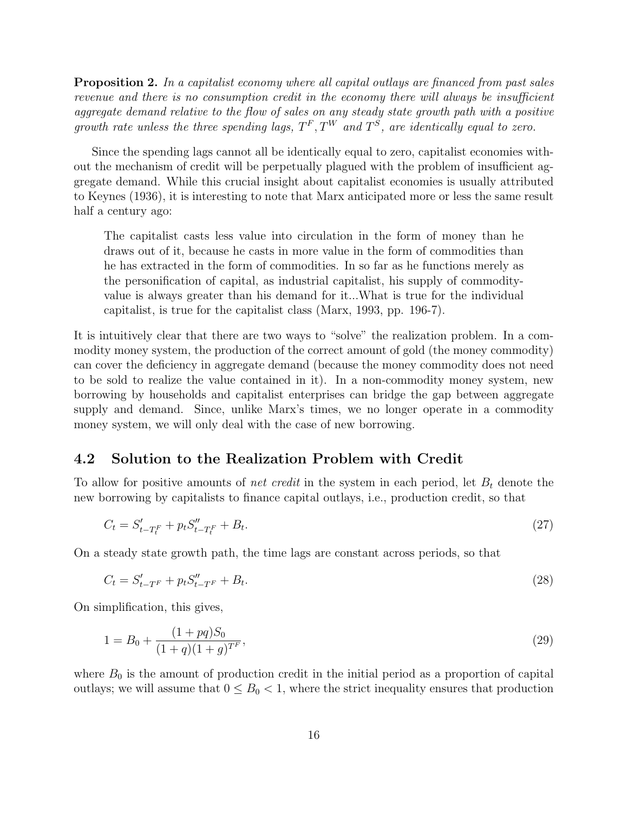**Proposition 2.** In a capitalist economy where all capital outlays are financed from past sales revenue and there is no consumption credit in the economy there will always be insufficient aggregate demand relative to the flow of sales on any steady state growth path with a positive growth rate unless the three spending lags,  $T^F, T^W$  and  $T^S$ , are identically equal to zero.

Since the spending lags cannot all be identically equal to zero, capitalist economies without the mechanism of credit will be perpetually plagued with the problem of insufficient aggregate demand. While this crucial insight about capitalist economies is usually attributed to Keynes (1936), it is interesting to note that Marx anticipated more or less the same result half a century ago:

The capitalist casts less value into circulation in the form of money than he draws out of it, because he casts in more value in the form of commodities than he has extracted in the form of commodities. In so far as he functions merely as the personification of capital, as industrial capitalist, his supply of commodityvalue is always greater than his demand for it...What is true for the individual capitalist, is true for the capitalist class (Marx, 1993, pp. 196-7).

It is intuitively clear that there are two ways to "solve" the realization problem. In a commodity money system, the production of the correct amount of gold (the money commodity) can cover the deficiency in aggregate demand (because the money commodity does not need to be sold to realize the value contained in it). In a non-commodity money system, new borrowing by households and capitalist enterprises can bridge the gap between aggregate supply and demand. Since, unlike Marx's times, we no longer operate in a commodity money system, we will only deal with the case of new borrowing.

#### 4.2 Solution to the Realization Problem with Credit

To allow for positive amounts of *net credit* in the system in each period, let  $B_t$  denote the new borrowing by capitalists to finance capital outlays, i.e., production credit, so that

$$
C_t = S'_{t-T_t^F} + p_t S''_{t-T_t^F} + B_t.
$$
\n(27)

On a steady state growth path, the time lags are constant across periods, so that

$$
C_t = S'_{t-T^F} + p_t S''_{t-T^F} + B_t.
$$
\n(28)

On simplification, this gives,

$$
1 = B_0 + \frac{(1+pq)S_0}{(1+q)(1+g)^{T^F}},\tag{29}
$$

where  $B_0$  is the amount of production credit in the initial period as a proportion of capital outlays; we will assume that  $0 \leq B_0 < 1$ , where the strict inequality ensures that production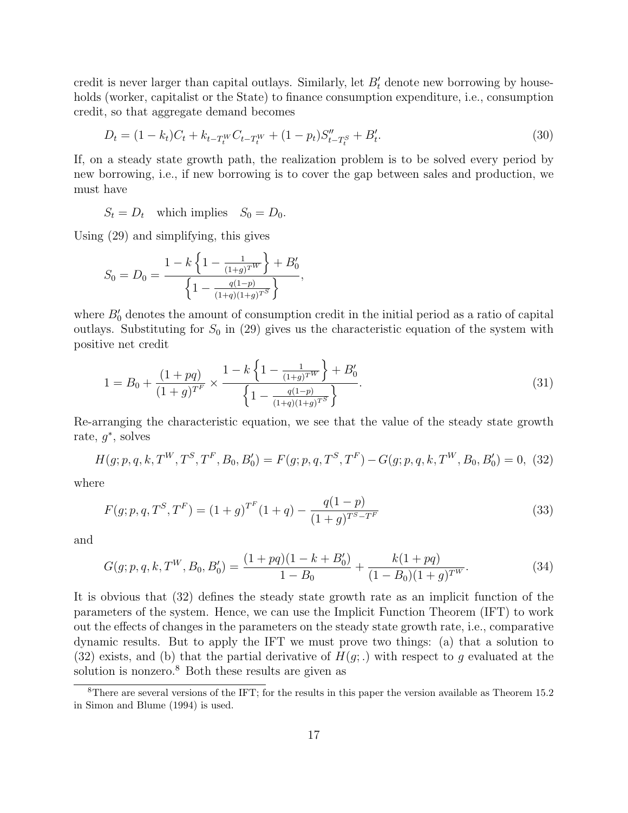credit is never larger than capital outlays. Similarly, let  $B'_t$  denote new borrowing by households (worker, capitalist or the State) to finance consumption expenditure, i.e., consumption credit, so that aggregate demand becomes

$$
D_t = (1 - k_t)C_t + k_{t-T_t^W}C_{t-T_t^W} + (1 - p_t)S_{t-T_t^S}'' + B_t'.\tag{30}
$$

If, on a steady state growth path, the realization problem is to be solved every period by new borrowing, i.e., if new borrowing is to cover the gap between sales and production, we must have

$$
S_t = D_t \quad \text{which implies} \quad S_0 = D_0.
$$

Using (29) and simplifying, this gives

$$
S_0 = D_0 = \frac{1 - k \left\{ 1 - \frac{1}{(1+g)^{TW}} \right\} + B'_0}{\left\{ 1 - \frac{q(1-p)}{(1+q)(1+g)^{T^S}} \right\}},
$$

where  $B'_0$  denotes the amount of consumption credit in the initial period as a ratio of capital outlays. Substituting for  $S_0$  in (29) gives us the characteristic equation of the system with positive net credit

$$
1 = B_0 + \frac{(1+pq)}{(1+g)^{TF}} \times \frac{1 - k\left\{1 - \frac{1}{(1+g)^{TW}}\right\} + B'_0}{\left\{1 - \frac{q(1-p)}{(1+q)(1+g)^{TS}}\right\}}.
$$
\n(31)

Re-arranging the characteristic equation, we see that the value of the steady state growth rate,  $g^*$ , solves

$$
H(g; p, q, k, T^W, T^S, T^F, B_0, B'_0) = F(g; p, q, T^S, T^F) - G(g; p, q, k, T^W, B_0, B'_0) = 0, (32)
$$

where

$$
F(g; p, q, T^S, T^F) = (1+g)^{T^F} (1+q) - \frac{q(1-p)}{(1+g)^{T^S - T^F}}
$$
\n(33)

and

$$
G(g; p, q, k, T^{W}, B_0, B'_0) = \frac{(1 + pq)(1 - k + B'_0)}{1 - B_0} + \frac{k(1 + pq)}{(1 - B_0)(1 + g)^{TW}}.
$$
\n(34)

It is obvious that (32) defines the steady state growth rate as an implicit function of the parameters of the system. Hence, we can use the Implicit Function Theorem (IFT) to work out the effects of changes in the parameters on the steady state growth rate, i.e., comparative dynamic results. But to apply the IFT we must prove two things: (a) that a solution to (32) exists, and (b) that the partial derivative of  $H(q;.)$  with respect to g evaluated at the solution is nonzero.<sup>8</sup> Both these results are given as

<sup>&</sup>lt;sup>8</sup>There are several versions of the IFT; for the results in this paper the version available as Theorem 15.2 in Simon and Blume (1994) is used.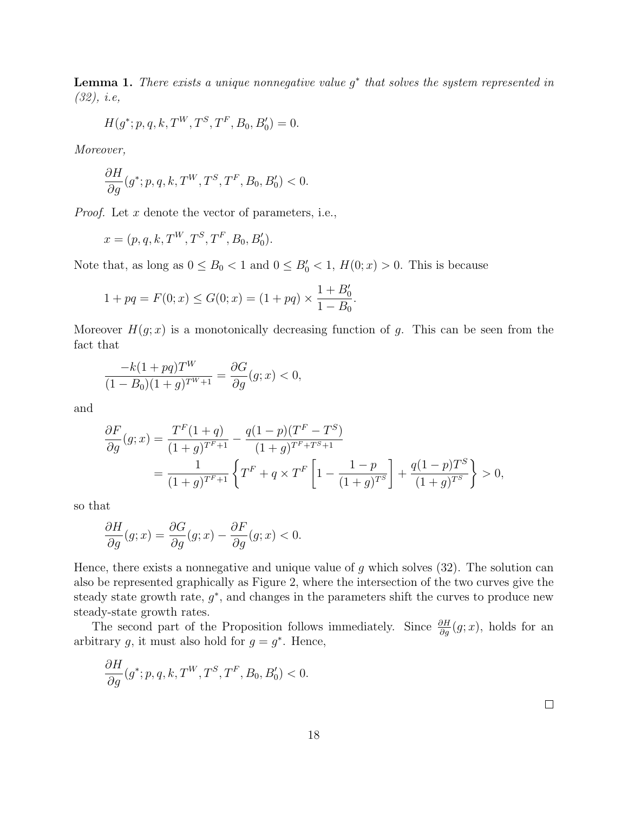**Lemma 1.** There exists a unique nonnegative value  $g^*$  that solves the system represented in (32), i.e,

$$
H(g^*; p, q, k, T^W, T^S, T^F, B_0, B'_0) = 0.
$$

Moreover,

$$
\frac{\partial H}{\partial g}(g^*; p, q, k, T^W, T^S, T^F, B_0, B'_0) < 0.
$$

*Proof.* Let x denote the vector of parameters, i.e.,

$$
x = (p, q, k, T^W, T^S, T^F, B_0, B'_0).
$$

Note that, as long as  $0 \leq B_0 < 1$  and  $0 \leq B'_0 < 1$ ,  $H(0; x) > 0$ . This is because

$$
1 + pq = F(0; x) \le G(0; x) = (1 + pq) \times \frac{1 + B'_0}{1 - B_0}.
$$

Moreover  $H(g; x)$  is a monotonically decreasing function of g. This can be seen from the fact that

$$
\frac{-k(1+pq)T^{W}}{(1-B_0)(1+g)^{TW+1}} = \frac{\partial G}{\partial g}(g; x) < 0,
$$

and

$$
\frac{\partial F}{\partial g}(g; x) = \frac{T^F (1+q)}{(1+g)^{T^F+1}} - \frac{q(1-p)(T^F - T^S)}{(1+g)^{T^F+T^S+1}} \n= \frac{1}{(1+g)^{T^F+1}} \left\{ T^F + q \times T^F \left[ 1 - \frac{1-p}{(1+g)^{T^S}} \right] + \frac{q(1-p)T^S}{(1+g)^{T^S}} \right\} > 0,
$$

so that

$$
\frac{\partial H}{\partial g}(g; x) = \frac{\partial G}{\partial g}(g; x) - \frac{\partial F}{\partial g}(g; x) < 0.
$$

Hence, there exists a nonnegative and unique value of g which solves  $(32)$ . The solution can also be represented graphically as Figure 2, where the intersection of the two curves give the steady state growth rate,  $g^*$ , and changes in the parameters shift the curves to produce new steady-state growth rates.

The second part of the Proposition follows immediately. Since  $\frac{\partial H}{\partial g}(g; x)$ , holds for an arbitrary g, it must also hold for  $g = g^*$ . Hence,

$$
\frac{\partial H}{\partial g}(g^*; p, q, k, T^W, T^S, T^F, B_0, B'_0) < 0.
$$

 $\Box$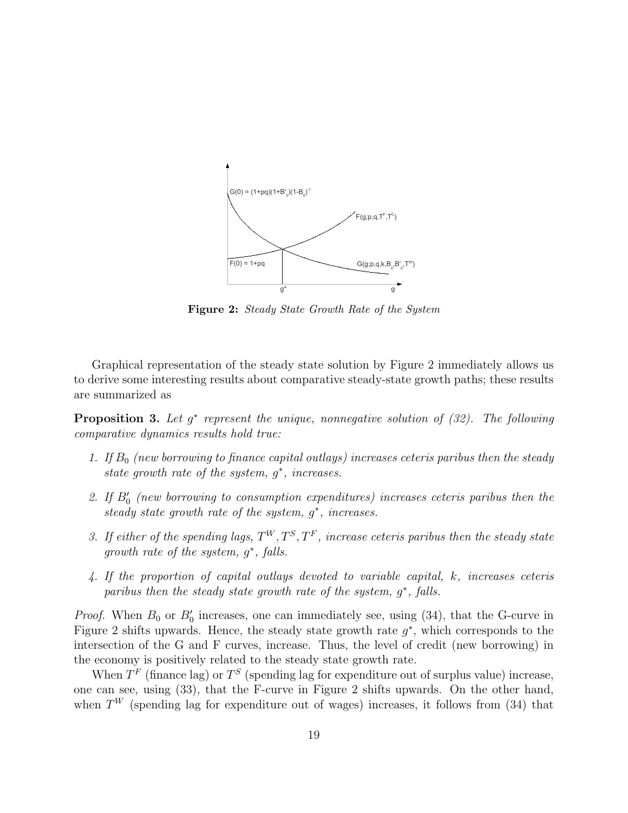

Figure 2: Steady State Growth Rate of the System

Graphical representation of the steady state solution by Figure 2 immediately allows us to derive some interesting results about comparative steady-state growth paths; these results are summarized as

**Proposition 3.** Let  $g^*$  represent the unique, nonnegative solution of  $(32)$ . The following comparative dynamics results hold true:

- 1. If  $B_0$  (new borrowing to finance capital outlays) increases ceteris paribus then the steady state growth rate of the system,  $g^*$ , increases.
- 2. If  $B'_0$  (new borrowing to consumption expenditures) increases ceteris paribus then the steady state growth rate of the system,  $g^*$ , increases.
- 3. If either of the spending lags,  $T^W, T^S, T^F$ , increase ceteris paribus then the steady state growth rate of the system,  $g^*$ , falls.
- 4. If the proportion of capital outlays devoted to variable capital, k, increases ceteris paribus then the steady state growth rate of the system,  $g^*$ , falls.

*Proof.* When  $B_0$  or  $B'_0$  increases, one can immediately see, using (34), that the G-curve in Figure 2 shifts upwards. Hence, the steady state growth rate  $g^*$ , which corresponds to the intersection of the G and F curves, increase. Thus, the level of credit (new borrowing) in the economy is positively related to the steady state growth rate.

When  $T<sup>F</sup>$  (finance lag) or  $T<sup>S</sup>$  (spending lag for expenditure out of surplus value) increase, one can see, using (33), that the F-curve in Figure 2 shifts upwards. On the other hand, when  $T^W$  (spending lag for expenditure out of wages) increases, it follows from  $(34)$  that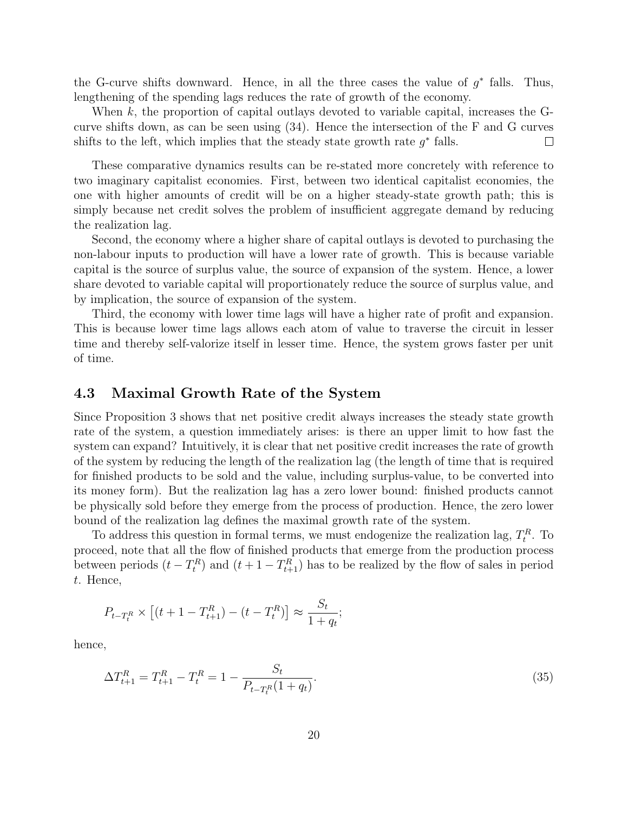the G-curve shifts downward. Hence, in all the three cases the value of  $g^*$  falls. Thus, lengthening of the spending lags reduces the rate of growth of the economy.

When  $k$ , the proportion of capital outlays devoted to variable capital, increases the  $G$ curve shifts down, as can be seen using (34). Hence the intersection of the F and G curves shifts to the left, which implies that the steady state growth rate  $g^*$  falls.  $\Box$ 

These comparative dynamics results can be re-stated more concretely with reference to two imaginary capitalist economies. First, between two identical capitalist economies, the one with higher amounts of credit will be on a higher steady-state growth path; this is simply because net credit solves the problem of insufficient aggregate demand by reducing the realization lag.

Second, the economy where a higher share of capital outlays is devoted to purchasing the non-labour inputs to production will have a lower rate of growth. This is because variable capital is the source of surplus value, the source of expansion of the system. Hence, a lower share devoted to variable capital will proportionately reduce the source of surplus value, and by implication, the source of expansion of the system.

Third, the economy with lower time lags will have a higher rate of profit and expansion. This is because lower time lags allows each atom of value to traverse the circuit in lesser time and thereby self-valorize itself in lesser time. Hence, the system grows faster per unit of time.

#### 4.3 Maximal Growth Rate of the System

Since Proposition 3 shows that net positive credit always increases the steady state growth rate of the system, a question immediately arises: is there an upper limit to how fast the system can expand? Intuitively, it is clear that net positive credit increases the rate of growth of the system by reducing the length of the realization lag (the length of time that is required for finished products to be sold and the value, including surplus-value, to be converted into its money form). But the realization lag has a zero lower bound: finished products cannot be physically sold before they emerge from the process of production. Hence, the zero lower bound of the realization lag defines the maximal growth rate of the system.

To address this question in formal terms, we must endogenize the realization lag,  $T_t^R$ . To proceed, note that all the flow of finished products that emerge from the production process between periods  $(t - T_t^R)$  and  $(t + 1 - T_{t+1}^R)$  has to be realized by the flow of sales in period t. Hence,

$$
P_{t-T_t^R} \times \left[ (t+1-T_{t+1}^R) - (t-T_t^R) \right] \approx \frac{S_t}{1+q_t};
$$

hence,

$$
\Delta T_{t+1}^R = T_{t+1}^R - T_t^R = 1 - \frac{S_t}{P_{t-T_t^R}(1+q_t)}.
$$
\n(35)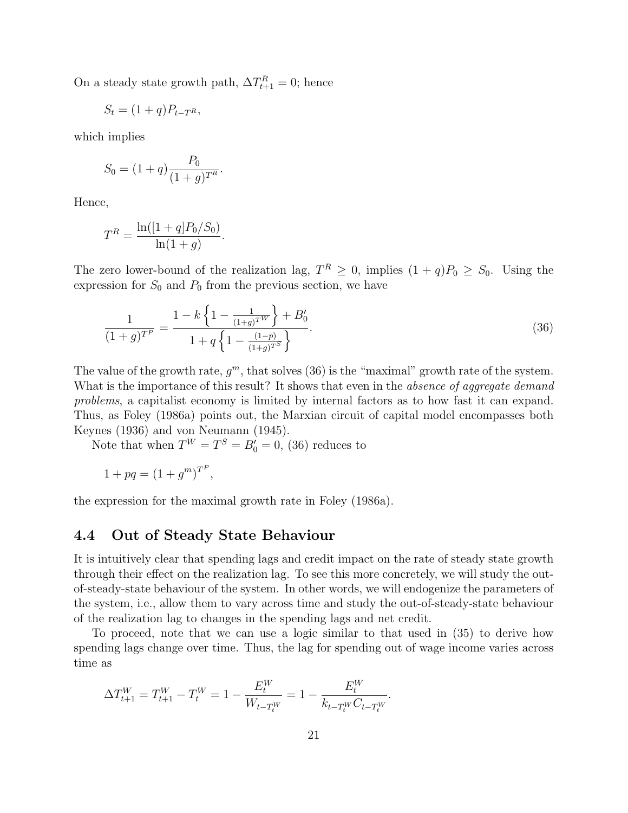On a steady state growth path,  $\Delta T_{t+1}^R = 0$ ; hence

$$
S_t = (1+q)P_{t-T^R},
$$

which implies

$$
S_0 = (1+q)\frac{P_0}{(1+g)^{T^R}}.
$$

Hence,

$$
T^{R} = \frac{\ln([1+q]P_{0}/S_{0})}{\ln(1+g)}
$$

The zero lower-bound of the realization lag,  $T^R \geq 0$ , implies  $(1+q)P_0 \geq S_0$ . Using the expression for  $S_0$  and  $P_0$  from the previous section, we have

$$
\frac{1}{(1+g)^{TP}} = \frac{1 - k\left\{1 - \frac{1}{(1+g)^{TN}}\right\} + B_0'}{1 + q\left\{1 - \frac{(1-p)}{(1+g)^{TS}}\right\}}.
$$
\n(36)

The value of the growth rate,  $g^m$ , that solves (36) is the "maximal" growth rate of the system. What is the importance of this result? It shows that even in the *absence of aggregate demand* problems, a capitalist economy is limited by internal factors as to how fast it can expand. Thus, as Foley (1986a) points out, the Marxian circuit of capital model encompasses both Keynes (1936) and von Neumann (1945).

Note that when  $T^W = T^S = B'_0 = 0$ , (36) reduces to

.

$$
1 + pq = (1 + gm)TP,
$$

the expression for the maximal growth rate in Foley (1986a).

#### 4.4 Out of Steady State Behaviour

It is intuitively clear that spending lags and credit impact on the rate of steady state growth through their effect on the realization lag. To see this more concretely, we will study the outof-steady-state behaviour of the system. In other words, we will endogenize the parameters of the system, i.e., allow them to vary across time and study the out-of-steady-state behaviour of the realization lag to changes in the spending lags and net credit.

To proceed, note that we can use a logic similar to that used in (35) to derive how spending lags change over time. Thus, the lag for spending out of wage income varies across time as

$$
\Delta T_{t+1}^W = T_{t+1}^W - T_t^W = 1 - \frac{E_t^W}{W_{t-T_t^W}} = 1 - \frac{E_t^W}{k_{t-T_t^W}C_{t-T_t^W}}
$$

.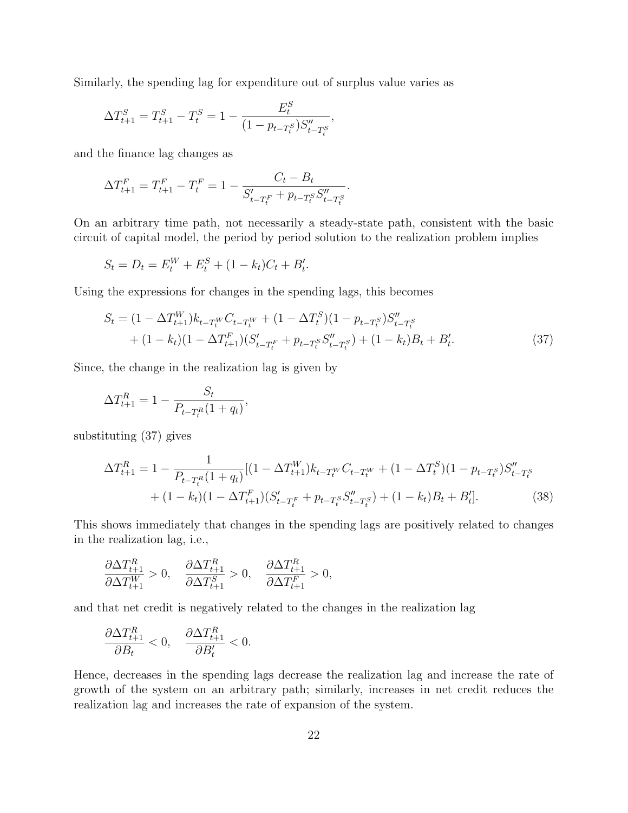Similarly, the spending lag for expenditure out of surplus value varies as

$$
\Delta T_{t+1}^S = T_{t+1}^S - T_t^S = 1 - \frac{E_t^S}{(1 - p_{t-T_t^S})S_{t-T_t^S}''},
$$

and the finance lag changes as

$$
\Delta T_{t+1}^F = T_{t+1}^F - T_t^F = 1 - \frac{C_t - B_t}{S_{t-T_t^F}^{\prime} + p_{t-T_t^S} S_{t-T_t^S}^{\prime\prime}}.
$$

On an arbitrary time path, not necessarily a steady-state path, consistent with the basic circuit of capital model, the period by period solution to the realization problem implies

$$
S_t = D_t = E_t^W + E_t^S + (1 - k_t)C_t + B_t'.
$$

Using the expressions for changes in the spending lags, this becomes

$$
S_t = (1 - \Delta T_{t+1}^W) k_{t-T_t^W} C_{t-T_t^W} + (1 - \Delta T_t^S) (1 - p_{t-T_t^S}) S_{t-T_t^S}''
$$
  
+ 
$$
(1 - k_t) (1 - \Delta T_{t+1}^F) (S_{t-T_t^F} + p_{t-T_t^S} S_{t-T_t^S}'' ) + (1 - k_t) B_t + B_t'.
$$
 (37)

Since, the change in the realization lag is given by

$$
\Delta T_{t+1}^R = 1 - \frac{S_t}{P_{t-T_t^R}(1+q_t)},
$$

substituting (37) gives

$$
\Delta T_{t+1}^{R} = 1 - \frac{1}{P_{t-T_{t}^{R}}(1+q_{t})} [(1 - \Delta T_{t+1}^{W})k_{t-T_{t}^{W}}C_{t-T_{t}^{W}} + (1 - \Delta T_{t}^{S})(1-p_{t-T_{t}^{S}})S_{t-T_{t}^{S}}'' + (1-k_{t})(1 - \Delta T_{t+1}^{F})(S_{t-T_{t}^{F}}' + p_{t-T_{t}^{S}}S_{t-T_{t}^{S}}'') + (1-k_{t})B_{t} + B_{t}'].
$$
\n(38)

This shows immediately that changes in the spending lags are positively related to changes in the realization lag, i.e.,

$$
\frac{\partial\Delta T^R_{t+1}}{\partial \Delta T^W_{t+1}}>0,\quad \frac{\partial\Delta T^R_{t+1}}{\partial \Delta T^S_{t+1}}>0,\quad \frac{\partial\Delta T^R_{t+1}}{\partial \Delta T^F_{t+1}}>0,
$$

and that net credit is negatively related to the changes in the realization lag

$$
\frac{\partial \Delta T_{t+1}^R}{\partial B_t} < 0, \quad \frac{\partial \Delta T_{t+1}^R}{\partial B'_t} < 0.
$$

Hence, decreases in the spending lags decrease the realization lag and increase the rate of growth of the system on an arbitrary path; similarly, increases in net credit reduces the realization lag and increases the rate of expansion of the system.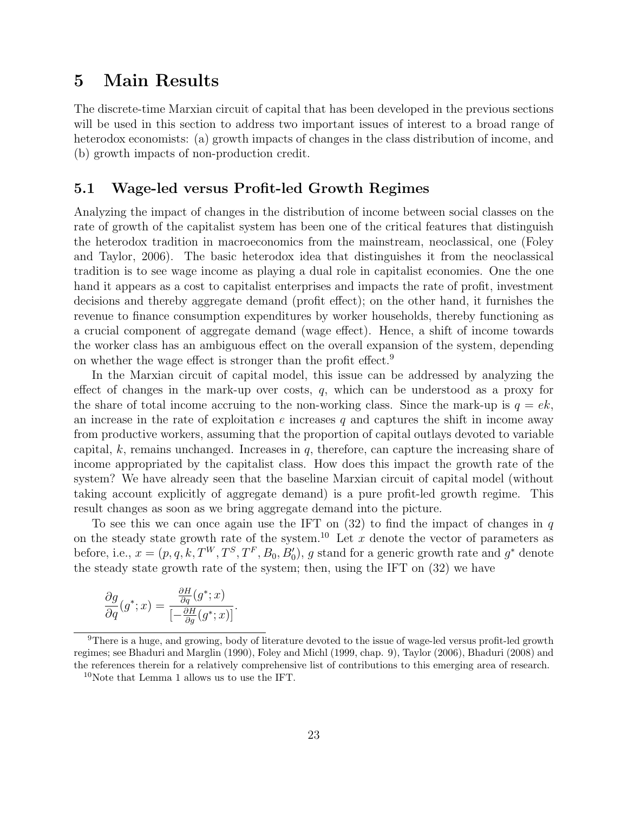#### 5 Main Results

The discrete-time Marxian circuit of capital that has been developed in the previous sections will be used in this section to address two important issues of interest to a broad range of heterodox economists: (a) growth impacts of changes in the class distribution of income, and (b) growth impacts of non-production credit.

#### 5.1 Wage-led versus Profit-led Growth Regimes

Analyzing the impact of changes in the distribution of income between social classes on the rate of growth of the capitalist system has been one of the critical features that distinguish the heterodox tradition in macroeconomics from the mainstream, neoclassical, one (Foley and Taylor, 2006). The basic heterodox idea that distinguishes it from the neoclassical tradition is to see wage income as playing a dual role in capitalist economies. One the one hand it appears as a cost to capitalist enterprises and impacts the rate of profit, investment decisions and thereby aggregate demand (profit effect); on the other hand, it furnishes the revenue to finance consumption expenditures by worker households, thereby functioning as a crucial component of aggregate demand (wage effect). Hence, a shift of income towards the worker class has an ambiguous effect on the overall expansion of the system, depending on whether the wage effect is stronger than the profit effect.<sup>9</sup>

In the Marxian circuit of capital model, this issue can be addressed by analyzing the effect of changes in the mark-up over costs,  $q$ , which can be understood as a proxy for the share of total income accruing to the non-working class. Since the mark-up is  $q = ek$ , an increase in the rate of exploitation  $e$  increases  $q$  and captures the shift in income away from productive workers, assuming that the proportion of capital outlays devoted to variable capital, k, remains unchanged. Increases in  $q$ , therefore, can capture the increasing share of income appropriated by the capitalist class. How does this impact the growth rate of the system? We have already seen that the baseline Marxian circuit of capital model (without taking account explicitly of aggregate demand) is a pure profit-led growth regime. This result changes as soon as we bring aggregate demand into the picture.

To see this we can once again use the IFT on  $(32)$  to find the impact of changes in q on the steady state growth rate of the system.<sup>10</sup> Let x denote the vector of parameters as before, i.e.,  $x = (p, q, k, T^W, T^S, T^F, B_0, B'_0)$ , g stand for a generic growth rate and  $g^*$  denote the steady state growth rate of the system; then, using the IFT on (32) we have

$$
\frac{\partial g}{\partial q}(g^*; x) = \frac{\frac{\partial H}{\partial q}(g^*; x)}{\left[-\frac{\partial H}{\partial g}(g^*; x)\right]}.
$$

<sup>9</sup>There is a huge, and growing, body of literature devoted to the issue of wage-led versus profit-led growth regimes; see Bhaduri and Marglin (1990), Foley and Michl (1999, chap. 9), Taylor (2006), Bhaduri (2008) and the references therein for a relatively comprehensive list of contributions to this emerging area of research.

 $10$ Note that Lemma 1 allows us to use the IFT.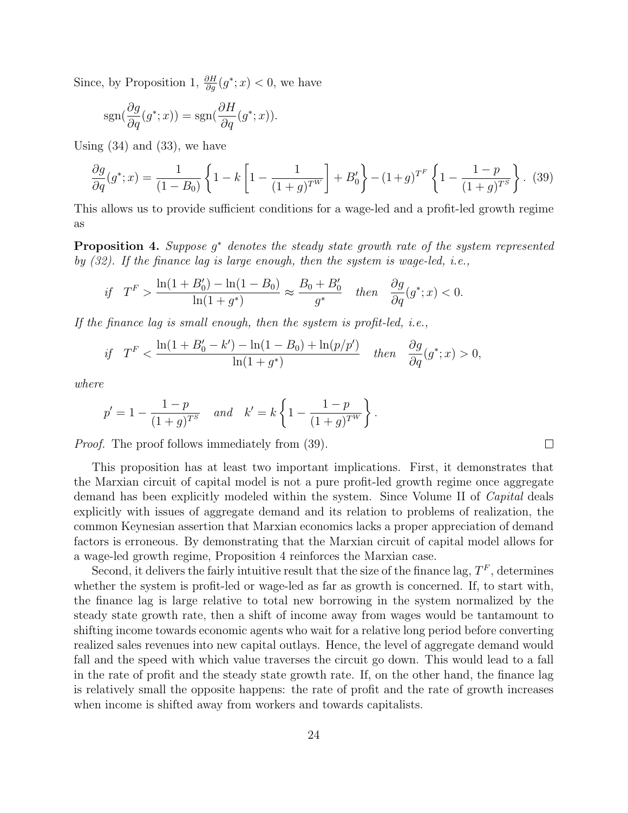Since, by Proposition 1,  $\frac{\partial H}{\partial g}(g^*; x) < 0$ , we have

$$
sgn(\frac{\partial g}{\partial q}(g^*;x)) = sgn(\frac{\partial H}{\partial q}(g^*;x)).
$$

Using  $(34)$  and  $(33)$ , we have

$$
\frac{\partial g}{\partial q}(g^*; x) = \frac{1}{(1 - B_0)} \left\{ 1 - k \left[ 1 - \frac{1}{(1 + g)^{TW}} \right] + B_0' \right\} - (1 + g)^{T^F} \left\{ 1 - \frac{1 - p}{(1 + g)^{T^S}} \right\}.
$$
 (39)

This allows us to provide sufficient conditions for a wage-led and a profit-led growth regime as

**Proposition 4.** Suppose  $g^*$  denotes the steady state growth rate of the system represented by (32). If the finance lag is large enough, then the system is wage-led, i.e.,

$$
if \tT^F > \frac{\ln(1 + B_0') - \ln(1 - B_0)}{\ln(1 + g^*)} \approx \frac{B_0 + B_0'}{g^*} \t then \frac{\partial g}{\partial q}(g^*; x) < 0.
$$

If the finance lag is small enough, then the system is profit-led, i.e.,

$$
\text{if} \quad T^F < \frac{\ln(1+B_0'-k')-\ln(1-B_0)+\ln(p/p')}{\ln(1+g^*)} \quad \text{then} \quad \frac{\partial g}{\partial q}(g^*; x) > 0,
$$

where

$$
p' = 1 - \frac{1-p}{(1+g)^{T^S}}
$$
 and  $k' = k \left\{ 1 - \frac{1-p}{(1+g)^{T^W}} \right\}.$ 

Proof. The proof follows immediately from (39).

This proposition has at least two important implications. First, it demonstrates that the Marxian circuit of capital model is not a pure profit-led growth regime once aggregate demand has been explicitly modeled within the system. Since Volume II of *Capital* deals explicitly with issues of aggregate demand and its relation to problems of realization, the common Keynesian assertion that Marxian economics lacks a proper appreciation of demand factors is erroneous. By demonstrating that the Marxian circuit of capital model allows for a wage-led growth regime, Proposition 4 reinforces the Marxian case.

Second, it delivers the fairly intuitive result that the size of the finance lag,  $T<sup>F</sup>$ , determines whether the system is profit-led or wage-led as far as growth is concerned. If, to start with, the finance lag is large relative to total new borrowing in the system normalized by the steady state growth rate, then a shift of income away from wages would be tantamount to shifting income towards economic agents who wait for a relative long period before converting realized sales revenues into new capital outlays. Hence, the level of aggregate demand would fall and the speed with which value traverses the circuit go down. This would lead to a fall in the rate of profit and the steady state growth rate. If, on the other hand, the finance lag is relatively small the opposite happens: the rate of profit and the rate of growth increases when income is shifted away from workers and towards capitalists.

 $\Box$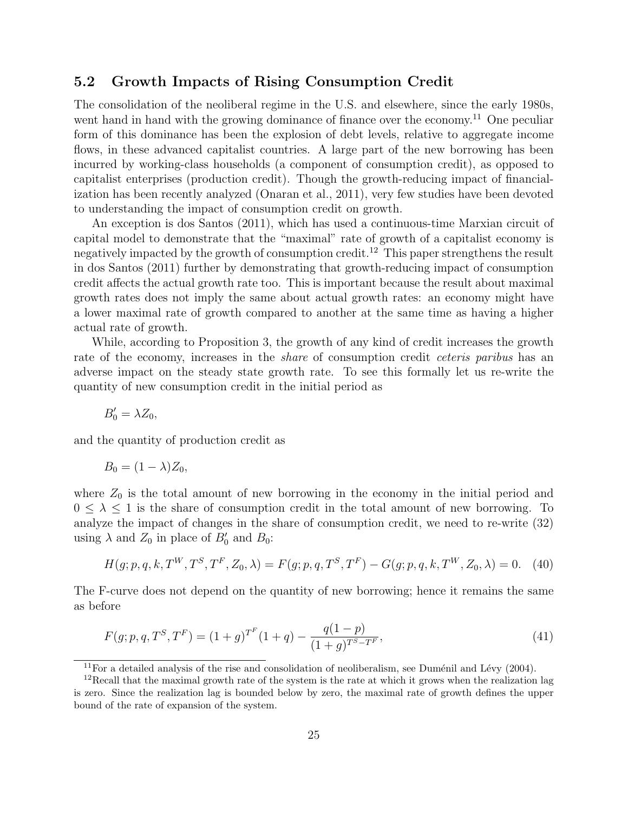#### 5.2 Growth Impacts of Rising Consumption Credit

The consolidation of the neoliberal regime in the U.S. and elsewhere, since the early 1980s, went hand in hand with the growing dominance of finance over the economy.<sup>11</sup> One peculiar form of this dominance has been the explosion of debt levels, relative to aggregate income flows, in these advanced capitalist countries. A large part of the new borrowing has been incurred by working-class households (a component of consumption credit), as opposed to capitalist enterprises (production credit). Though the growth-reducing impact of financialization has been recently analyzed (Onaran et al., 2011), very few studies have been devoted to understanding the impact of consumption credit on growth.

An exception is dos Santos (2011), which has used a continuous-time Marxian circuit of capital model to demonstrate that the "maximal" rate of growth of a capitalist economy is negatively impacted by the growth of consumption credit.<sup>12</sup> This paper strengthens the result in dos Santos (2011) further by demonstrating that growth-reducing impact of consumption credit affects the actual growth rate too. This is important because the result about maximal growth rates does not imply the same about actual growth rates: an economy might have a lower maximal rate of growth compared to another at the same time as having a higher actual rate of growth.

While, according to Proposition 3, the growth of any kind of credit increases the growth rate of the economy, increases in the *share* of consumption credit *ceteris paribus* has an adverse impact on the steady state growth rate. To see this formally let us re-write the quantity of new consumption credit in the initial period as

$$
B_0' = \lambda Z_0,
$$

and the quantity of production credit as

$$
B_0 = (1 - \lambda)Z_0,
$$

where  $Z_0$  is the total amount of new borrowing in the economy in the initial period and  $0 \leq \lambda \leq 1$  is the share of consumption credit in the total amount of new borrowing. To analyze the impact of changes in the share of consumption credit, we need to re-write (32) using  $\lambda$  and  $Z_0$  in place of  $B'_0$  and  $B_0$ :

$$
H(g; p, q, k, T^W, T^S, T^F, Z_0, \lambda) = F(g; p, q, T^S, T^F) - G(g; p, q, k, T^W, Z_0, \lambda) = 0.
$$
 (40)

The F-curve does not depend on the quantity of new borrowing; hence it remains the same as before

$$
F(g; p, q, T^S, T^F) = (1+g)^{T^F} (1+q) - \frac{q(1-p)}{(1+g)^{T^S - T^F}},
$$
\n(41)

<sup>&</sup>lt;sup>11</sup>For a detailed analysis of the rise and consolidation of neoliberalism, see Duménil and Lévy (2004).

<sup>&</sup>lt;sup>12</sup>Recall that the maximal growth rate of the system is the rate at which it grows when the realization lag is zero. Since the realization lag is bounded below by zero, the maximal rate of growth defines the upper bound of the rate of expansion of the system.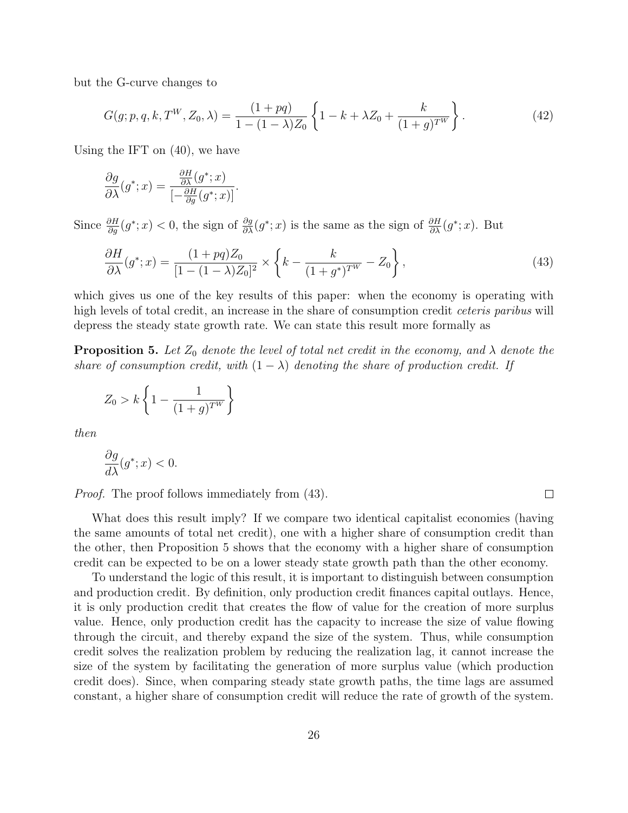but the G-curve changes to

$$
G(g; p, q, k, T^{W}, Z_0, \lambda) = \frac{(1 + pq)}{1 - (1 - \lambda)Z_0} \left\{ 1 - k + \lambda Z_0 + \frac{k}{(1 + g)^{T^{W}}} \right\}.
$$
 (42)

Using the IFT on (40), we have

$$
\frac{\partial g}{\partial \lambda}(g^*; x) = \frac{\frac{\partial H}{\partial \lambda}(g^*; x)}{\left[-\frac{\partial H}{\partial g}(g^*; x)\right]}.
$$

Since  $\frac{\partial H}{\partial g}(g^*;x) < 0$ , the sign of  $\frac{\partial g}{\partial \lambda}(g^*;x)$  is the same as the sign of  $\frac{\partial H}{\partial \lambda}(g^*;x)$ . But

$$
\frac{\partial H}{\partial \lambda}(g^*; x) = \frac{(1 + pq)Z_0}{[1 - (1 - \lambda)Z_0]^2} \times \left\{ k - \frac{k}{(1 + g^*)^{TW}} - Z_0 \right\},\tag{43}
$$

which gives us one of the key results of this paper: when the economy is operating with high levels of total credit, an increase in the share of consumption credit *ceteris paribus* will depress the steady state growth rate. We can state this result more formally as

**Proposition 5.** Let  $Z_0$  denote the level of total net credit in the economy, and  $\lambda$  denote the share of consumption credit, with  $(1 - \lambda)$  denoting the share of production credit. If

$$
Z_0 > k \left\{ 1 - \frac{1}{(1+g)^{TW}} \right\}
$$

then

$$
\frac{\partial g}{\partial \lambda}(g^*;x) < 0.
$$

Proof. The proof follows immediately from (43).

What does this result imply? If we compare two identical capitalist economies (having the same amounts of total net credit), one with a higher share of consumption credit than the other, then Proposition 5 shows that the economy with a higher share of consumption credit can be expected to be on a lower steady state growth path than the other economy.

To understand the logic of this result, it is important to distinguish between consumption and production credit. By definition, only production credit finances capital outlays. Hence, it is only production credit that creates the flow of value for the creation of more surplus value. Hence, only production credit has the capacity to increase the size of value flowing through the circuit, and thereby expand the size of the system. Thus, while consumption credit solves the realization problem by reducing the realization lag, it cannot increase the size of the system by facilitating the generation of more surplus value (which production credit does). Since, when comparing steady state growth paths, the time lags are assumed constant, a higher share of consumption credit will reduce the rate of growth of the system.

 $\Box$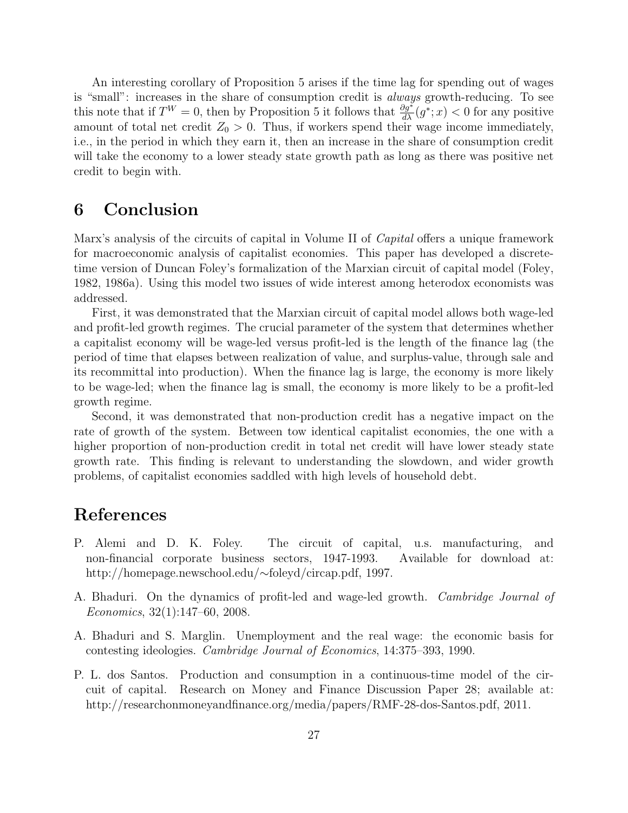An interesting corollary of Proposition 5 arises if the time lag for spending out of wages is "small": increases in the share of consumption credit is always growth-reducing. To see this note that if  $T^W = 0$ , then by Proposition 5 it follows that  $\frac{\partial g^*}{\partial \lambda}(g^*; x) < 0$  for any positive amount of total net credit  $Z_0 > 0$ . Thus, if workers spend their wage income immediately, i.e., in the period in which they earn it, then an increase in the share of consumption credit will take the economy to a lower steady state growth path as long as there was positive net credit to begin with.

#### 6 Conclusion

Marx's analysis of the circuits of capital in Volume II of *Capital* offers a unique framework for macroeconomic analysis of capitalist economies. This paper has developed a discretetime version of Duncan Foley's formalization of the Marxian circuit of capital model (Foley, 1982, 1986a). Using this model two issues of wide interest among heterodox economists was addressed.

First, it was demonstrated that the Marxian circuit of capital model allows both wage-led and profit-led growth regimes. The crucial parameter of the system that determines whether a capitalist economy will be wage-led versus profit-led is the length of the finance lag (the period of time that elapses between realization of value, and surplus-value, through sale and its recommittal into production). When the finance lag is large, the economy is more likely to be wage-led; when the finance lag is small, the economy is more likely to be a profit-led growth regime.

Second, it was demonstrated that non-production credit has a negative impact on the rate of growth of the system. Between tow identical capitalist economies, the one with a higher proportion of non-production credit in total net credit will have lower steady state growth rate. This finding is relevant to understanding the slowdown, and wider growth problems, of capitalist economies saddled with high levels of household debt.

#### References

- P. Alemi and D. K. Foley. The circuit of capital, u.s. manufacturing, and non-financial corporate business sectors, 1947-1993. Available for download at: http://homepage.newschool.edu/∼foleyd/circap.pdf, 1997.
- A. Bhaduri. On the dynamics of profit-led and wage-led growth. Cambridge Journal of Economics, 32(1):147–60, 2008.
- A. Bhaduri and S. Marglin. Unemployment and the real wage: the economic basis for contesting ideologies. Cambridge Journal of Economics, 14:375–393, 1990.
- P. L. dos Santos. Production and consumption in a continuous-time model of the circuit of capital. Research on Money and Finance Discussion Paper 28; available at: http://researchonmoneyandfinance.org/media/papers/RMF-28-dos-Santos.pdf, 2011.